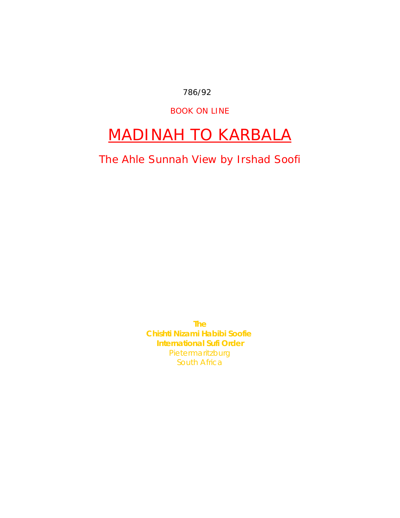786/92

BOOK ON LINE

# MADINAH TO KARBALA

The Ahle Sunnah View by Irshad Soofi

**The Chishti Nizami Habibi Soofie International Sufi Order** Pietermaritzburg South Africa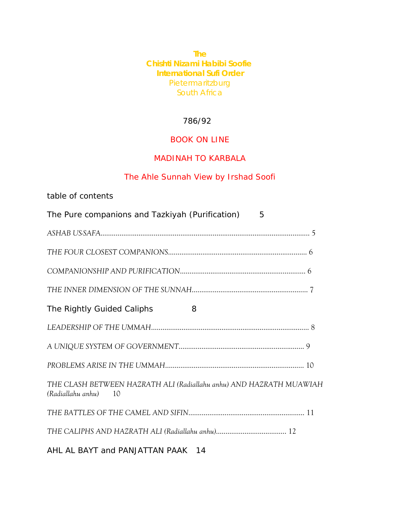**The Chishti Nizami Habibi Soofie International Sufi Order** Pietermaritzburg South Africa

#### 786/92

# BOOK ON LINE

# MADINAH TO KARBALA

# The Ahle Sunnah View by Irshad Soofi

| table of contents                                                                              |
|------------------------------------------------------------------------------------------------|
| The Pure companions and Tazkiyah (Purification)<br>5                                           |
|                                                                                                |
|                                                                                                |
|                                                                                                |
|                                                                                                |
| The Rightly Guided Caliphs<br>8                                                                |
|                                                                                                |
|                                                                                                |
|                                                                                                |
| THE CLASH BETWEEN HAZRATH ALI (Radiallahu anhu) AND HAZRATH MUAWIAH<br>(Radiallahu anhu)<br>10 |
|                                                                                                |
|                                                                                                |
| AHL AL BAYT and PANJATTAN PAAK 14                                                              |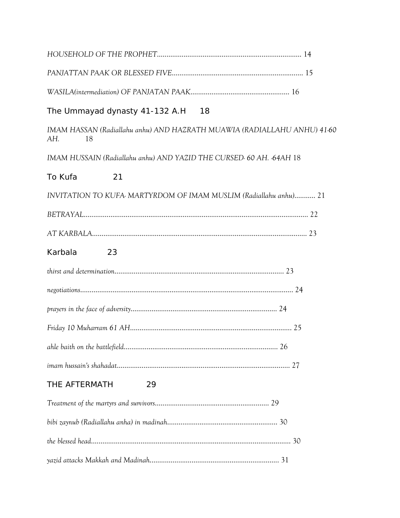| The Ummayad dynasty 41-132 A.H 18                                                     |  |
|---------------------------------------------------------------------------------------|--|
| IMAM HASSAN (Radiallahu anhu) AND HAZRATH MUAWIA (RADIALLAHU ANHU) 41-60<br>AH.<br>18 |  |
| IMAM HUSSAIN (Radiallahu anhu) AND YAZID THE CURSED 60 AH. 64AH 18                    |  |
| To Kufa<br>21                                                                         |  |
| INVITATION TO KUFA MARTYRDOM OF IMAM MUSLIM (Radiallahu anhu) 21                      |  |
|                                                                                       |  |
|                                                                                       |  |
| Karbala<br>23                                                                         |  |
|                                                                                       |  |
|                                                                                       |  |
|                                                                                       |  |
|                                                                                       |  |
|                                                                                       |  |
|                                                                                       |  |
| THE AFTERMATH<br>29                                                                   |  |
|                                                                                       |  |
|                                                                                       |  |
|                                                                                       |  |
|                                                                                       |  |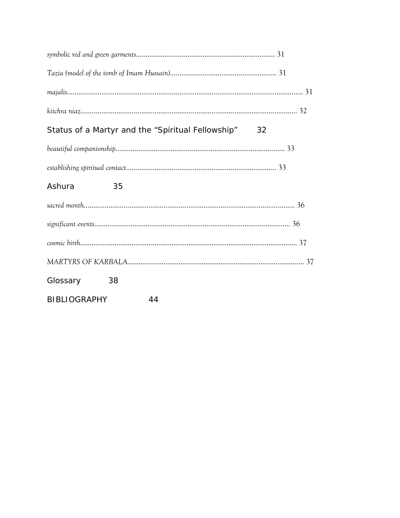|              | Status of a Martyr and the "Spiritual Fellowship" | 32 |  |
|--------------|---------------------------------------------------|----|--|
|              |                                                   |    |  |
|              |                                                   |    |  |
| Ashura       | 35                                                |    |  |
|              |                                                   |    |  |
|              |                                                   |    |  |
|              |                                                   |    |  |
|              |                                                   |    |  |
| Glossary     | 38                                                |    |  |
| BIBLIOGRAPHY | 44                                                |    |  |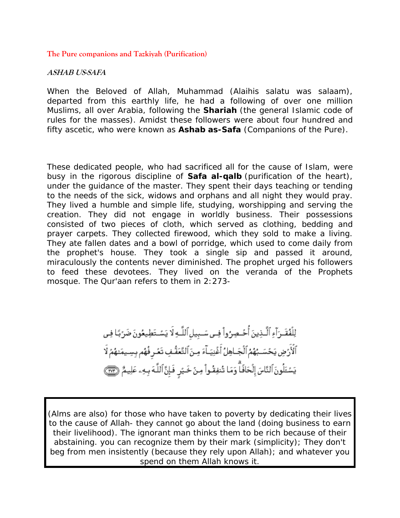#### <span id="page-4-0"></span>**The Pure companions and Tazkiyah (Purification)**

#### **ASHAB US-SAFA**

When the Beloved of Allah, Muhammad (Alaihis salatu was salaam), departed from this earthly life, he had a following of over one million Muslims, all over Arabia, following the *Shariah* (the general Islamic code of rules for the masses). Amidst these followers were about four hundred and fifty ascetic, who were known as *Ashab as-Safa* (Companions of the Pure).

These dedicated people, who had sacrificed all for the cause of Islam, were busy in the rigorous discipline of *Safa al-qalb* (purification of the heart), under the guidance of the master. They spent their days teaching or tending to the needs of the sick, widows and orphans and all night they would pray. They lived a humble and simple life, studying, worshipping and serving the creation. They did not engage in worldly business. Their possessions consisted of two pieces of cloth, which served as clothing, bedding and prayer carpets. They collected firewood, which they sold to make a living. They ate fallen dates and a bowl of porridge, which used to come daily from the prophet's house. They took a single sip and passed it around, miraculously the contents never diminished. The prophet urged his followers to feed these devotees. They lived on the veranda of the Prophets mosque. The Qur'aan refers to them in 2:273-

> لِلْفُقَـرَآءِ ٱلَّـذِينَ أُحُـصِرُواْ فِـي سَـبِيلِٱللَّـهِ لَا يَسْـتَطِيعُونَ ضَرُبًا فِي ٱلْأَرْضِ يَحْسَـبُهُمُ ٱلْجَـاهِلُ أَغْنِيَـآءَ مِـنَ ٱلتَّعَقُّـفِ تَعۡـرٍ فُهُم بِسِـيمَنهُمْ لَا يَسْئَلُونَ ٱلنَّاسَ إِلۡحَافَٱۖ وَمَا تُنفِقُواْ مِنۡ خَيۡرٍ فَإِنَّ ٱللَّهَ بِهِۦ عَلِيمٌ ۞۞

(Alms are also) for those who have taken to poverty by dedicating their lives to the cause of Allah- they cannot go about the land (doing business to earn their livelihood). The ignorant man thinks them to be rich because of their abstaining. you can recognize them by their mark (simplicity); They don't beg from men insistently (because they rely upon Allah); and whatever you spend on them Allah knows it.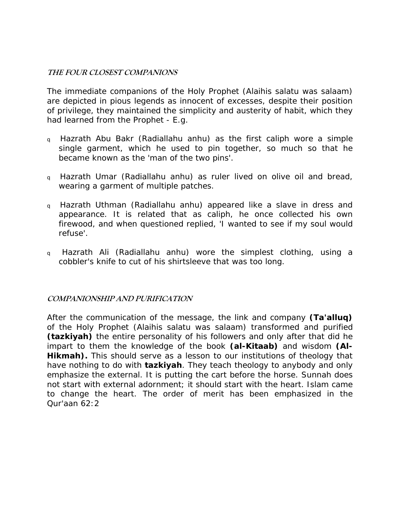#### <span id="page-5-0"></span>**THE FOUR CLOSEST COMPANIONS**

The immediate companions of the Holy Prophet (Alaihis salatu was salaam) are depicted in pious legends as innocent of excesses, despite their position of privilege, they maintained the simplicity and austerity of habit, which they had learned from the Prophet - E.g.

- <sup>q</sup> Hazrath Abu Bakr (Radiallahu anhu) as the first caliph wore a simple single garment, which he used to pin together, so much so that he became known as the 'man of the two pins'.
- <sup>q</sup> Hazrath Umar (Radiallahu anhu) as ruler lived on olive oil and bread, wearing a garment of multiple patches.
- <sup>q</sup> Hazrath Uthman (Radiallahu anhu) appeared like a slave in dress and appearance. It is related that as caliph, he once collected his own firewood, and when questioned replied, 'I wanted to see if my soul would refuse'.
- <sup>q</sup> Hazrath Ali (Radiallahu anhu) wore the simplest clothing, using a cobbler's knife to cut of his shirtsleeve that was too long.

# **COMPANIONSHIP AND PURIFICATION**

After the communication of the message, the link and company *(Ta'alluq)* of the Holy Prophet (Alaihis salatu was salaam) transformed and purified *(tazkiyah)* the entire personality of his followers and only after that did he impart to them the knowledge of the book *(al-Kitaab)* and wisdom *(Al-*Hikmah). This should serve as a lesson to our institutions of theology that have nothing to do with *tazkiyah*. They teach theology to anybody and only emphasize the external. It is putting the cart before the horse. Sunnah does not start with external adornment; it should start with the heart. Islam came to change the heart. The order of merit has been emphasized in the Qur'aan 62:2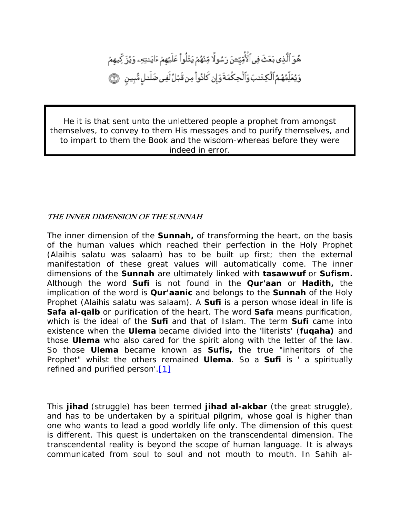<span id="page-6-0"></span>هُوَ ٱلَّذِى بَعَثَ فِى ٱلۡأُمِّيِّــُنَ رَسُولًا مِّنْهُمْ يَتَلُواْ عَلَيۡهِمْ ءَايَـٰتِهِۦ وَيُزَ كِّيهِمْ وَيُعَلِّمُهُمُ ٱلْكِتَنبَ وَٱلْحِكْمَةَوَإِن كَانُواْ مِن قَبُلُ لَفِى ضَلَنلٍ مُّبِينٍ ﴾

He it is that sent unto the unlettered people a prophet from amongst themselves, to convey to them His messages and to purify themselves, and to impart to them the Book and the wisdom-whereas before they were indeed in error.

#### **THE INNER DIMENSION OF THE SUNNAH**

The inner dimension of the *Sunnah,* of transforming the heart, on the basis of the human values which reached their perfection in the Holy Prophet (Alaihis salatu was salaam) has to be built up first; then the external manifestation of these great values will automatically come. The inner dimensions of the *Sunnah* are ultimately linked with *tasawwuf* or *Sufism.* Although the word *Sufi* is not found in the *Qur'aan* or *Hadith,* the implication of the word is *Qur'aanic* and belongs to the *Sunnah* of the Holy Prophet (Alaihis salatu was salaam). A *Sufi* is a person whose ideal in life is *Safa al-qalb* or purification of the heart. The word *Safa* means purification, which is the ideal of the *Sufi* and that of Islam. The term *Sufi* came into existence when the *Ulema* became divided into the *'literists'* (*fuqaha)* and those *Ulema* who also cared for the spirit along with the letter of the law. So those *Ulema* became known as *Sufis,* the true "inheritors of the Prophet" whilst the others remained *Ulema*. So a *Sufi* is *' a spiritually refined and purified person'.*[\[1\]](http://www.sufi.co.za/book madinah to karbala.htm#_ftn1)

This *jihad* (struggle) has been termed *jihad al-akbar* (the great struggle), and has to be undertaken by a spiritual pilgrim, whose goal is higher than one who wants to lead a good worldly life only. The dimension of this quest is different. This quest is undertaken on the transcendental dimension. The transcendental reality is beyond the scope of human language. It is always communicated from soul to soul and not mouth to mouth. In Sahih al-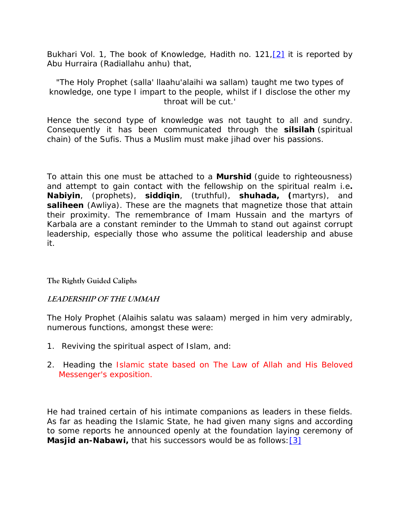<span id="page-7-0"></span>Bukhari Vol. 1, The book of Knowledge, Hadith no. 121, [2] it is reported by Abu Hurraira (Radiallahu anhu) that,

"*The Holy Prophet (salla' llaahu'alaihi wa sallam) taught me two types of knowledge, one type I impart to the people, whilst if I disclose the other my throat will be cut.'* 

Hence the second type of knowledge was not taught to all and sundry. Consequently it has been communicated through the *silsilah* (spiritual chain) of the Sufis. Thus a Muslim must make jihad over his passions.

To attain this one must be attached to a *Murshid* (guide to righteousness) and attempt to gain contact with the fellowship on the spiritual realm i.e*. Nabiyin*, (prophets), *siddiqin*, (truthful), *shuhada, (*martyrs), and **saliheen** (Awliya). These are the magnets that magnetize those that attain their proximity. The remembrance of Imam Hussain and the martyrs of Karbala are a constant reminder to the Ummah to stand out against corrupt leadership, especially those who assume the political leadership and abuse it.

**The Rightly Guided Caliphs** 

#### **LEADERSHIP OF THE UMMAH**

The Holy Prophet (Alaihis salatu was salaam) merged in him very admirably, numerous functions, amongst these were:

- 1. Reviving the spiritual aspect of Islam, and:
- 2. Heading the Islamic state based on The Law of Allah and His Beloved Messenger's exposition.

He had trained certain of his intimate companions as leaders in these fields. As far as heading the Islamic State, he had given many signs and according to some reports he announced openly at the foundation laying ceremony of *Masjid an-Nabawi,* that his successors would be as follows: [\[3\]](http://www.sufi.co.za/book madinah to karbala.htm#_ftn3)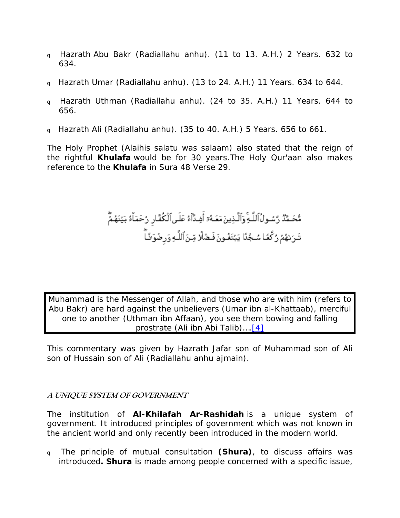- <span id="page-8-0"></span><sup>q</sup> Hazrath Abu Bakr (Radiallahu anhu). (11 to 13. A.H.) 2 Years. 632 to 634.
- <sup>q</sup> Hazrath Umar (Radiallahu anhu). (13 to 24. A.H.) 11 Years. 634 to 644.
- <sup>q</sup> Hazrath Uthman (Radiallahu anhu). (24 to 35. A.H.) 11 Years. 644 to 656.
- <sup>q</sup> Hazrath Ali (Radiallahu anhu). (35 to 40. A.H.) 5 Years. 656 to 661.

The Holy Prophet (Alaihis salatu was salaam) also stated that the reign of the rightful *Khulafa* would be for 30 years.The Holy Qur'aan also makes reference to the *Khulafa* in Sura 48 Verse 29.

# مُّحَـمَّدٌ رَّسُـولُٱللَّـةِۚوَٱلَّـذِينَ مَعَـهُۥٓ أَشِـدَّآءُ عَلَـىٱلۡكُمَّـَارِ رُحَمَـآءُ بَيَّنَهُمَّ<br>تَـرَىٰهُمْ رُكَّعَـا سُـجَّدًا يَبْتَغُـونَ فَـضَلَّا مِّـنَ ٱللَّـهِ وَرِضُوَنَـَا ۖ

*Muhammad is the Messenger of Allah, and those who are with him* (refers to Abu Bakr) *are hard against the unbelievers* (Umar ibn al-Khattaab)*, merciful one to another* (Uthman ibn Affaan), *you see them bowing and falling prostrate* (Ali ibn Abi Talib)….[\[4\]](http://www.sufi.co.za/book madinah to karbala.htm#_ftn4)

This commentary was given by Hazrath Jafar son of Muhammad son of Ali son of Hussain son of Ali (Radiallahu anhu ajmain).

# **A UNIQUE SYSTEM OF GOVERNMENT**

The institution of *Al-Khilafah Ar-Rashidah* is a unique system of government. It introduced principles of government which was not known in the ancient world and only recently been introduced in the modern world.

<sup>q</sup> The principle of mutual consultation *(Shura)*, to discuss affairs was introduced*. Shura* is made among people concerned with a specific issue,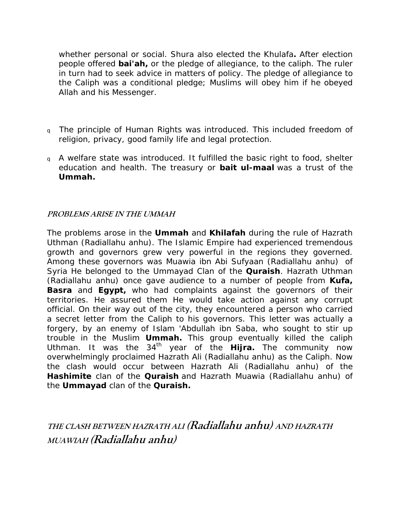<span id="page-9-0"></span>whether personal or social. Shura also elected the Khulafa*.* After election people offered *bai'ah,* or the pledge of allegiance, to the caliph. The ruler in turn had to seek advice in matters of policy. The pledge of allegiance to the Caliph was a conditional pledge; Muslims will obey him if he obeyed Allah and his Messenger.

- <sup>q</sup> The principle of Human Rights was introduced. This included freedom of religion, privacy, good family life and legal protection.
- <sup>q</sup> A welfare state was introduced. It fulfilled the basic right to food, shelter education and health. The treasury or *bait ul-maal* was a trust of the *Ummah.*

# **PROBLEMS ARISE IN THE UMMAH**

The problems arose in the *Ummah* and *Khilafah* during the rule of Hazrath Uthman (Radiallahu anhu). The Islamic Empire had experienced tremendous growth and governors grew very powerful in the regions they governed. Among these governors was Muawia ibn Abi Sufyaan (Radiallahu anhu) of Syria He belonged to the *Ummayad* Clan of the *Quraish*. Hazrath Uthman (Radiallahu anhu) once gave audience to a number of people from *Kufa,* **Basra** and **Egypt**, who had complaints against the governors of their territories. He assured them He would take action against any corrupt official. On their way out of the city, they encountered a person who carried a secret letter from the Caliph to his governors. This letter was actually a forgery, by an enemy of Islam 'Abdullah ibn Saba, who sought to stir up trouble in the Muslim *Ummah.* This group eventually killed the caliph Uthman. It was the 34th year of the *Hijra.* The community now overwhelmingly proclaimed Hazrath Ali (Radiallahu anhu) as the Caliph. Now the clash would occur between Hazrath Ali (Radiallahu anhu) of the *Hashimite* clan of the *Quraish* and Hazrath Muawia (Radiallahu anhu) of the *Ummayad* clan of the *Quraish.* 

**THE CLASH BETWEEN HAZRATH ALI (Radiallahu anhu) AND HAZRATH MUAWIAH (Radiallahu anhu)**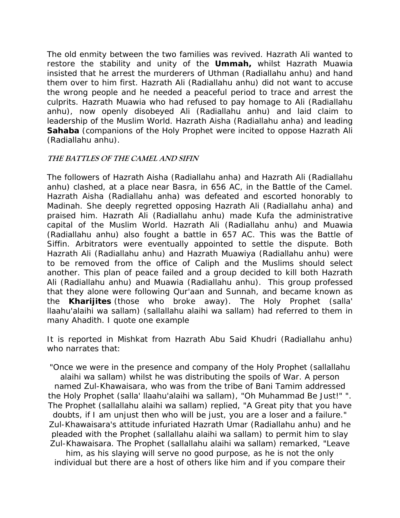<span id="page-10-0"></span>The old enmity between the two families was revived. Hazrath Ali wanted to restore the stability and unity of the *Ummah,* whilst Hazrath Muawia insisted that he arrest the murderers of Uthman (Radiallahu anhu) and hand them over to him first. Hazrath Ali (Radiallahu anhu) did not want to accuse the wrong people and he needed a peaceful period to trace and arrest the culprits. Hazrath Muawia who had refused to pay homage to Ali (Radiallahu anhu), now openly disobeyed Ali (Radiallahu anhu) and laid claim to leadership of the Muslim World. Hazrath Aisha (Radiallahu anha) and leading **Sahaba** (companions of the Holy Prophet were incited to oppose Hazrath Ali (Radiallahu anhu).

#### **THE BATTLES OF THE CAMEL AND SIFIN**

The followers of Hazrath Aisha (Radiallahu anha) and Hazrath Ali (Radiallahu anhu) clashed, at a place near Basra, in 656 AC, in the Battle of the Camel. Hazrath Aisha (Radiallahu anha) was defeated and escorted honorably to Madinah. She deeply regretted opposing Hazrath Ali (Radiallahu anha) and praised him. Hazrath Ali (Radiallahu anhu) made Kufa the administrative capital of the Muslim World. Hazrath Ali (Radiallahu anhu) and Muawia (Radiallahu anhu) also fought a battle in 657 AC. This was the Battle of Siffin. Arbitrators were eventually appointed to settle the dispute. Both Hazrath Ali (Radiallahu anhu) and Hazrath Muawiya (Radiallahu anhu) were to be removed from the office of Caliph and the Muslims should select another. This plan of peace failed and a group decided to kill both Hazrath Ali (Radiallahu anhu) and Muawia (Radiallahu anhu). This group professed that they alone were following Qur'aan and Sunnah, and became known as the *Kharijites* (those who broke away). The Holy Prophet (salla' llaahu'alaihi wa sallam) (sallallahu alaihi wa sallam) had referred to them in many Ahadith. I quote one example

It is reported in Mishkat from Hazrath Abu Said Khudri (Radiallahu anhu) who narrates that:

"Once we were in the presence and company of the Holy Prophet (sallallahu alaihi wa sallam) whilst he was distributing the spoils of War. A person named Zul-Khawaisara, who was from the tribe of Bani Tamim addressed the Holy Prophet (salla' llaahu'alaihi wa sallam), "Oh Muhammad Be Just!" ". The Prophet (sallallahu alaihi wa sallam) replied, "A Great pity that you have doubts, if I am unjust then who will be just, you are a loser and a failure." Zul-Khawaisara's attitude infuriated Hazrath Umar (Radiallahu anhu) and he pleaded with the Prophet (sallallahu alaihi wa sallam) to permit him to slay Zul-Khawaisara. The Prophet (sallallahu alaihi wa sallam) remarked, "Leave

him, as his slaying will serve no good purpose, as he is not the only individual but there are a host of others like him and if you compare their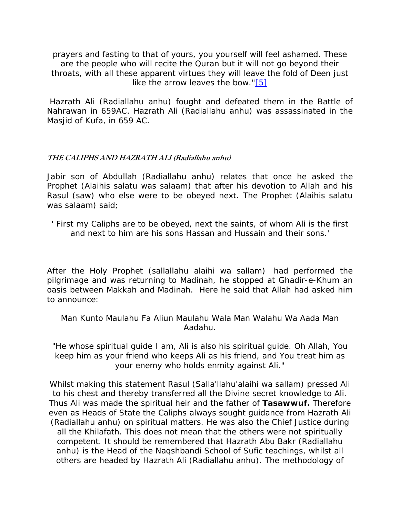<span id="page-11-0"></span>prayers and fasting to that of yours, you yourself will feel ashamed. These are the people who will recite the Quran but it will not go beyond their throats, with all these apparent virtues they will leave the fold of Deen just like the arrow leaves the bow."[\[5\]](http://www.sufi.co.za/book madinah to karbala.htm#_ftn5)

 Hazrath Ali (Radiallahu anhu) fought and defeated them in the Battle of Nahrawan in 659AC. Hazrath Ali (Radiallahu anhu) was assassinated in the Masjid of Kufa, in 659 AC.

#### **THE CALIPHS AND HAZRATH ALI (Radiallahu anhu)**

Jabir son of Abdullah (Radiallahu anhu) relates that once he asked the Prophet (Alaihis salatu was salaam) that after his devotion to Allah and his Rasul (saw) who else were to be obeyed next. The Prophet (Alaihis salatu was salaam) said;

' First my Caliphs are to be obeyed, next the saints, of whom Ali is the first and next to him are his sons Hassan and Hussain and their sons.'

After the Holy Prophet (sallallahu alaihi wa sallam) had performed the pilgrimage and was returning to Madinah, he stopped at Ghadir-e-Khum an oasis between Makkah and Madinah. Here he said that Allah had asked him to announce:

Man Kunto Maulahu Fa Aliun Maulahu Wala Man Walahu Wa Aada Man Aadahu.

"He whose spiritual guide I am, Ali is also his spiritual guide. Oh Allah, You keep him as your friend who keeps Ali as his friend, and You treat him as your enemy who holds enmity against Ali."

Whilst making this statement Rasul (Salla'llahu'alaihi wa sallam) pressed Ali to his chest and thereby transferred all the Divine secret knowledge to Ali. Thus Ali was made the spiritual heir and the father of *Tasawwuf.* Therefore even as Heads of State the Caliphs always sought guidance from Hazrath Ali (Radiallahu anhu) on spiritual matters. He was also the Chief Justice during all the Khilafath. This does not mean that the others were not spiritually competent. It should be remembered that Hazrath Abu Bakr (Radiallahu anhu) is the Head of the Naqshbandi School of Sufic teachings, whilst all others are headed by Hazrath Ali (Radiallahu anhu). The methodology of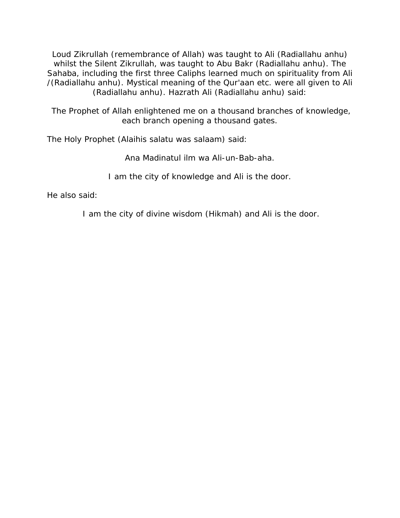Loud Zikrullah (remembrance of Allah) was taught to Ali (Radiallahu anhu) whilst the Silent Zikrullah, was taught to Abu Bakr (Radiallahu anhu). The Sahaba, including the first three Caliphs learned much on spirituality from Ali /(Radiallahu anhu). Mystical meaning of the Qur'aan etc. were all given to Ali (Radiallahu anhu). Hazrath Ali (Radiallahu anhu) said:

 The Prophet of Allah enlightened me on a thousand branches of knowledge, each branch opening a thousand gates.

The Holy Prophet (Alaihis salatu was salaam) said:

Ana Madinatul ilm wa Ali-un-Bab-aha.

I am the city of knowledge and Ali is the door.

He also said:

I am the city of divine wisdom (Hikmah) and Ali is the door.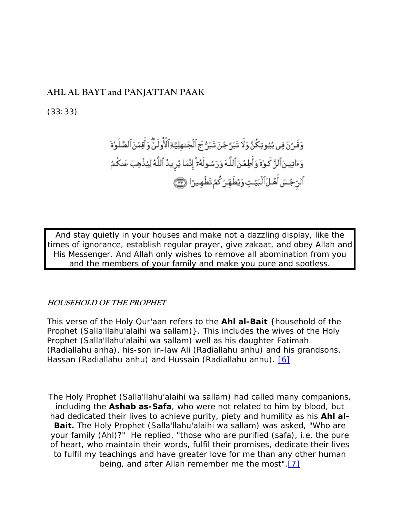# <span id="page-13-0"></span>**AHL AL BAYT and PANJATTAN PAAK**

(33:33)

And stay quietly in your houses and make not a dazzling display, like the times of ignorance, establish regular prayer, give zakaat, and obey Allah and His Messenger. And Allah only wishes to remove all abomination from you and the members of your family and make you pure and spotless.

#### **HOUSEHOLD OF THE PROPHET**

This verse of the Holy Qur'aan refers to the *Ahl al-Bait* {household of the Prophet (Salla'llahu'alaihi wa sallam)}. This includes the wives of the Holy Prophet (Salla'llahu'alaihi wa sallam) well as his daughter Fatimah (Radiallahu anha), his-son in-law Ali (Radiallahu anhu) and his grandsons, Hassan (Radiallahu anhu) and Hussain (Radiallahu anhu). [\[6\]](http://www.sufi.co.za/book madinah to karbala.htm#_ftn6)

The Holy Prophet (Salla'llahu'alaihi wa sallam) had called many companions, including the *Ashab as-Safa*, who were not related to him by blood, but had dedicated their lives to achieve purity, piety and humility as his *Ahl al-Bait.* The Holy Prophet (Salla'llahu'alaihi wa sallam) was asked, "Who are your family (Ahl)?" He replied, "those who are purified (safa), i.e. the pure of heart, who maintain their words, fulfil their promises, dedicate their lives to fulfil my teachings and have greater love for me than any other human being, and after Allah remember me the most".[\[7\]](http://www.sufi.co.za/book madinah to karbala.htm#_ftn7)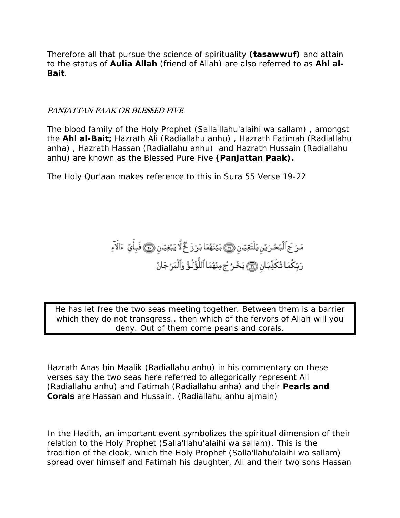<span id="page-14-0"></span>Therefore all that pursue the science of spirituality *(tasawwuf)* and attain to the status of *Aulia Allah* (friend of Allah) are also referred to as *Ahl al-Bait*.

#### **PANJATTAN PAAK OR BLESSED FIVE**

The blood family of the Holy Prophet (Salla'llahu'alaihi wa sallam) , amongst the *Ahl al-Bait;* Hazrath Ali (Radiallahu anhu) , Hazrath Fatimah (Radiallahu anha) , Hazrath Hassan (Radiallahu anhu) and Hazrath Hussain (Radiallahu anhu) are known as the Blessed Pure Five *(Panjattan Paak).*

The Holy Qur'aan makes reference to this in Sura 55 Verse 19-22

مَرَ جَ ٱلْبَحْرَيْنِ يَلْتَقِيَانِ ۞ بَيْنَهُمَا بَرُزَ خٌ لَّا يَبْغِيَانِ ۞ فَبِأَيِّ ءَالَآءِ رَبِّكُمَا تُكَذِّبَان ۞ يَخُرُ جُ مِنْهُمَا ٱللُّؤُلُوُّ وَٱلْمَرْجَانُ

He has let free the two seas meeting together. Between them is a barrier which they do not transgress.. then which of the fervors of Allah will you deny. Out of them come pearls and corals.

Hazrath Anas bin Maalik (Radiallahu anhu) in his commentary on these verses say the two seas here referred to allegorically represent Ali (Radiallahu anhu) and Fatimah (Radiallahu anha) and their *Pearls and Corals* are Hassan and Hussain. (Radiallahu anhu ajmain)

In the Hadith, an important event symbolizes the spiritual dimension of their relation to the Holy Prophet (Salla'llahu'alaihi wa sallam). This is the tradition of the cloak, which the Holy Prophet (Salla'llahu'alaihi wa sallam) spread over himself and Fatimah his daughter, Ali and their two sons Hassan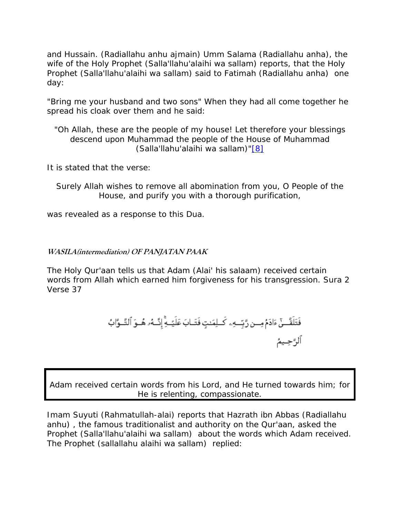<span id="page-15-0"></span>and Hussain. (Radiallahu anhu ajmain) Umm Salama (Radiallahu anha), the wife of the Holy Prophet (Salla'llahu'alaihi wa sallam) reports, that the Holy Prophet (Salla'llahu'alaihi wa sallam) said to Fatimah (Radiallahu anha) one day:

"Bring me your husband and two sons" When they had all come together he spread his cloak over them and he said:

"Oh Allah, these are the people of my house! Let therefore your blessings descend upon Muhammad the people of the House of Muhammad (Salla'llahu'alaihi wa sallam)["\[8\]](http://www.sufi.co.za/book madinah to karbala.htm#_ftn8)

It is stated that the verse:

Surely Allah wishes to remove all abomination from you, O People of the House, and purify you with a thorough purification,

was revealed as a response to this Dua.

#### **WASILA(intermediation) OF PANJATAN PAAK**

The Holy Qur'aan tells us that Adam (Alai' his salaam) received certain words from Allah which earned him forgiveness for his transgression. Sura 2 Verse 37

Adam received certain words from his Lord, and He turned towards him; for He is relenting, compassionate.

Imam Suyuti (Rahmatullah-alai) reports that Hazrath ibn Abbas (Radiallahu anhu) , the famous traditionalist and authority on the Qur'aan, asked the Prophet (Salla'llahu'alaihi wa sallam) about the words which Adam received. The Prophet (sallallahu alaihi wa sallam) replied: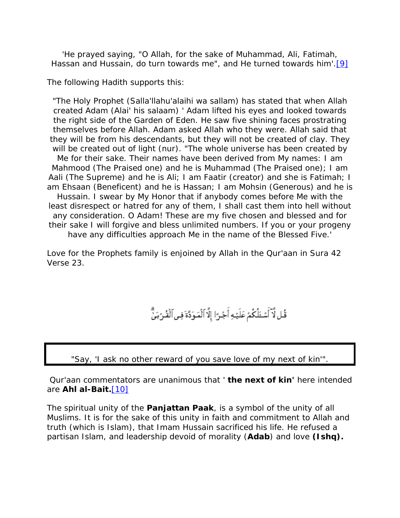'He prayed saying, "O Allah, for the sake of Muhammad, Ali, Fatimah, Hassan and Hussain, do turn towards me", and He turned towards him'.<sup>[\[9\]](http://www.sufi.co.za/book madinah to karbala.htm#_ftn9)</sup>

The following Hadith supports this:

"The Holy Prophet (Salla'llahu'alaihi wa sallam) has stated that when Allah created Adam (Alai' his salaam) ' Adam lifted his eyes and looked towards the right side of the Garden of Eden. He saw five shining faces prostrating themselves before Allah. Adam asked Allah who they were. Allah said that they will be from his descendants, but they will not be created of clay. They will be created out of light (nur). "The whole universe has been created by Me for their sake. Their names have been derived from My names: I am Mahmood (The Praised one) and he is Muhammad (The Praised one); I am Aali (The Supreme) and he is Ali; I am Faatir (creator) and she is Fatimah; I am Ehsaan (Beneficent) and he is Hassan; I am Mohsin (Generous) and he is Hussain. I swear by My Honor that if anybody comes before Me with the least disrespect or hatred for any of them, I shall cast them into hell without any consideration. O Adam! These are my five chosen and blessed and for their sake I will forgive and bless unlimited numbers. If you or your progeny have any difficulties approach Me in the name of the Blessed Five.'

Love for the Prophets family is enjoined by Allah in the Qur'aan in Sura 42 Verse 23.

قُل لَّآ أَسْئَلُكُمْ عَلَيۡهِ أَجۡرَا إِلَّا ٱلۡمَوَدَّةَ فِى ٱلۡقُرۡبَىِّ ۗ

"Say, 'I ask no other reward of you save love of my next of kin'".

Qur'aan commentators are unanimous that ' *the next of kin'* here intended are *Ahl al-Bait.*[\[10\]](http://www.sufi.co.za/book madinah to karbala.htm#_ftn10)

The spiritual unity of the *Panjattan Paak*, is a symbol of the unity of all Muslims. It is for the sake of this unity in faith and commitment to Allah and truth (which is Islam), that Imam Hussain sacrificed his life. He refused a partisan Islam, and leadership devoid of morality (*Adab*) and love *(Ishq).*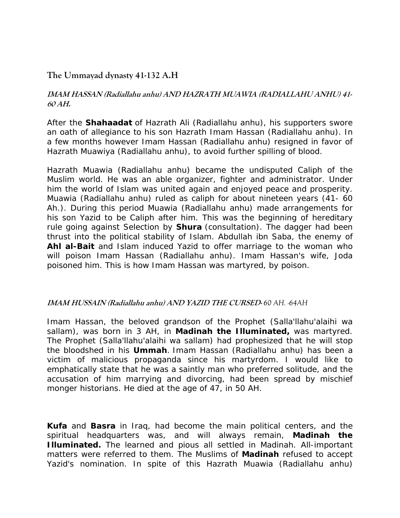# <span id="page-17-0"></span>**The Ummayad dynasty 41-132 A.H**

#### **IMAM HASSAN (Radiallahu anhu) AND HAZRATH MUAWIA (RADIALLAHU ANHU) 41- 60 AH.**

After the *Shahaadat* of Hazrath Ali (Radiallahu anhu), his supporters swore an oath of allegiance to his son Hazrath Imam Hassan (Radiallahu anhu). In a few months however Imam Hassan (Radiallahu anhu) resigned in favor of Hazrath Muawiya (Radiallahu anhu), to avoid further spilling of blood.

Hazrath Muawia (Radiallahu anhu) became the undisputed Caliph of the Muslim world. He was an able organizer, fighter and administrator. Under him the world of Islam was united again and enjoyed peace and prosperity. Muawia (Radiallahu anhu) ruled as caliph for about nineteen years (41- 60 Ah.). During this period Muawia (Radiallahu anhu) made arrangements for his son Yazid to be Caliph after him. This was the beginning of hereditary rule going against Selection by *Shura* (consultation). The dagger had been thrust into the political stability of Islam. Abdullah ibn Saba, the enemy of *Ahl al-Bait* and Islam induced Yazid to offer marriage to the woman who will poison Imam Hassan (Radiallahu anhu). Imam Hassan's wife, Joda poisoned him. This is how Imam Hassan was martyred, by poison.

#### **IMAM HUSSAIN (Radiallahu anhu) AND YAZID THE CURSED-** *60 AH. -64AH*

Imam Hassan, the beloved grandson of the Prophet (Salla'llahu'alaihi wa sallam), was born in 3 AH, in *Madinah the Illuminated,* was martyred. The Prophet (Salla'llahu'alaihi wa sallam) had prophesized that he will stop the bloodshed in his *Ummah*. Imam Hassan (Radiallahu anhu) has been a victim of malicious propaganda since his martyrdom. I would like to emphatically state that he was a saintly man who preferred solitude, and the accusation of him marrying and divorcing, had been spread by mischief monger historians. He died at the age of 47, in 50 AH.

*Kufa* and *Basra* in Iraq, had become the main political centers, and the spiritual headquarters was, and will always remain, *Madinah the Illuminated.* The learned and pious all settled in Madinah. All-important matters were referred to them. The Muslims of *Madinah* refused to accept Yazid's nomination. In spite of this Hazrath Muawia (Radiallahu anhu)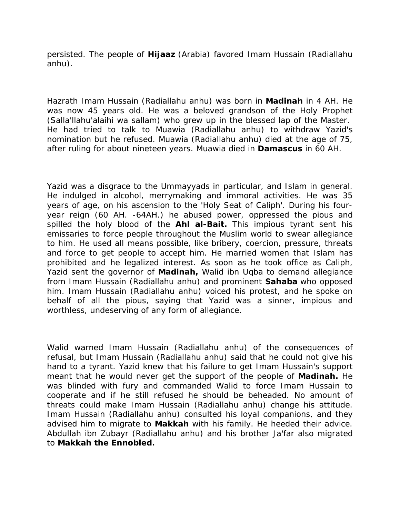persisted. The people of *Hijaaz* (Arabia) favored Imam Hussain (Radiallahu anhu).

Hazrath Imam Hussain (Radiallahu anhu) was born in *Madinah* in 4 AH. He was now 45 years old. He was a beloved grandson of the Holy Prophet (Salla'llahu'alaihi wa sallam) who grew up in the blessed lap of the Master. He had tried to talk to Muawia (Radiallahu anhu) to withdraw Yazid's nomination but he refused. Muawia (Radiallahu anhu) died at the age of 75, after ruling for about nineteen years. Muawia died in *Damascus* in 60 AH.

Yazid was a disgrace to the Ummayyads in particular, and Islam in general. He indulged in alcohol, merrymaking and immoral activities. He was 35 years of age, on his ascension to the 'Holy Seat of Caliph'. During his fouryear reign (60 AH. -64AH.) he abused power, oppressed the pious and spilled the holy blood of the *Ahl al-Bait.* This impious tyrant sent his emissaries to force people throughout the Muslim world to swear allegiance to him. He used all means possible, like bribery, coercion, pressure, threats and force to get people to accept him. He married women that Islam has prohibited and he legalized interest. As soon as he took office as Caliph, Yazid sent the governor of *Madinah,* Walid ibn Uqba to demand allegiance from Imam Hussain (Radiallahu anhu) and prominent *Sahaba* who opposed him. Imam Hussain (Radiallahu anhu) voiced his protest, and he spoke on behalf of all the pious, saying that Yazid was a sinner, impious and worthless, undeserving of any form of allegiance.

Walid warned Imam Hussain (Radiallahu anhu) of the consequences of refusal, but Imam Hussain (Radiallahu anhu) said that he could not give his hand to a tyrant. Yazid knew that his failure to get Imam Hussain's support meant that he would never get the support of the people of *Madinah.* He was blinded with fury and commanded Walid to force Imam Hussain to cooperate and if he still refused he should be beheaded. No amount of threats could make Imam Hussain (Radiallahu anhu) change his attitude. Imam Hussain (Radiallahu anhu) consulted his loyal companions, and they advised him to migrate to *Makkah* with his family. He heeded their advice. Abdullah ibn Zubayr (Radiallahu anhu) and his brother Ja'far also migrated to *Makkah the Ennobled.*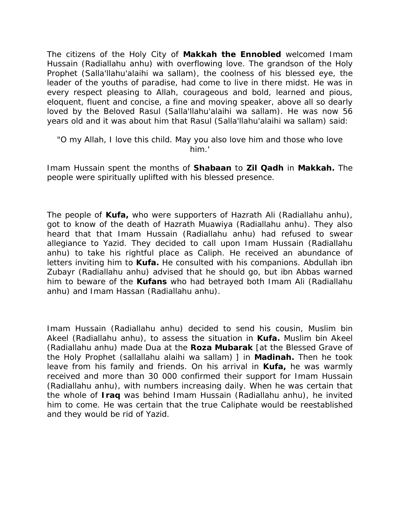The citizens of the Holy City of *Makkah the Ennobled* welcomed Imam Hussain (Radiallahu anhu) with overflowing love. The grandson of the Holy Prophet (Salla'llahu'alaihi wa sallam), the coolness of his blessed eye, the leader of the youths of paradise, had come to live in there midst. He was in every respect pleasing to Allah, courageous and bold, learned and pious, eloquent, fluent and concise, a fine and moving speaker, above all so dearly loved by the Beloved Rasul (Salla'llahu'alaihi wa sallam). He was now 56 years old and it was about him that Rasul (Salla'llahu'alaihi wa sallam) said:

```
"O my Allah, I love this child. May you also love him and those who love 
                      him.'
```
Imam Hussain spent the months of *Shabaan* to *Zil Qadh* in *Makkah.* The people were spiritually uplifted with his blessed presence.

The people of *Kufa,* who were supporters of Hazrath Ali (Radiallahu anhu), got to know of the death of Hazrath Muawiya (Radiallahu anhu). They also heard that that Imam Hussain (Radiallahu anhu) had refused to swear allegiance to Yazid. They decided to call upon Imam Hussain (Radiallahu anhu) to take his rightful place as Caliph. He received an abundance of letters inviting him to *Kufa.* He consulted with his companions. Abdullah ibn Zubayr (Radiallahu anhu) advised that he should go, but ibn Abbas warned him to beware of the *Kufans* who had betrayed both Imam Ali (Radiallahu anhu) and Imam Hassan (Radiallahu anhu).

Imam Hussain (Radiallahu anhu) decided to send his cousin, Muslim bin Akeel (Radiallahu anhu), to assess the situation in *Kufa.* Muslim bin Akeel (Radiallahu anhu) made Dua at the *Roza Mubarak* [at the Blessed Grave of the Holy Prophet (sallallahu alaihi wa sallam) ] in *Madinah.* Then he took leave from his family and friends. On his arrival in *Kufa,* he was warmly received and more than 30 000 confirmed their support for Imam Hussain (Radiallahu anhu), with numbers increasing daily. When he was certain that the whole of *Iraq* was behind Imam Hussain (Radiallahu anhu), he invited him to come. He was certain that the true Caliphate would be reestablished and they would be rid of Yazid.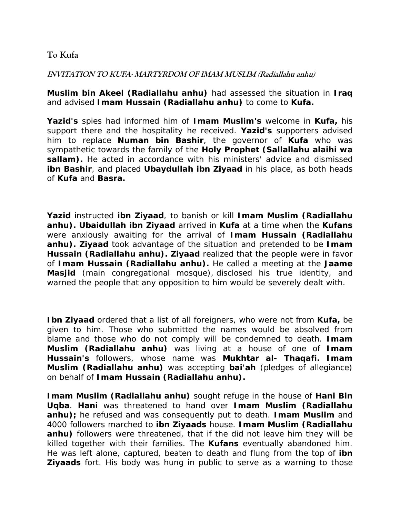# <span id="page-20-0"></span>**To Kufa**

#### **INVITATION TO KUFA- MARTYRDOM OF IMAM MUSLIM (Radiallahu anhu)**

*Muslim bin Akeel (Radiallahu anhu)* had assessed the situation in *Iraq*  and advised *Imam Hussain (Radiallahu anhu)* to come to *Kufa.*

*Yazid's* spies had informed him of *Imam Muslim's* welcome in *Kufa,* his support there and the hospitality he received. *Yazid's* supporters advised him to replace *Numan bin Bashir*, the governor of *Kufa* who was sympathetic towards the family of the *Holy Prophet (Sallallahu alaihi wa sallam).* He acted in accordance with his ministers' advice and dismissed *ibn Bashir*, and placed *Ubaydullah ibn Ziyaad* in his place, as both heads of *Kufa* and *Basra.* 

*Yazid* instructed *ibn Ziyaad*, to banish or kill *Imam Muslim (Radiallahu anhu). Ubaidullah ibn Ziyaad* arrived in *Kufa* at a time when the *Kufans* were anxiously awaiting for the arrival of *Imam Hussain (Radiallahu anhu). Ziyaad* took advantage of the situation and pretended to be *Imam Hussain (Radiallahu anhu). Ziyaad* realized that the people were in favor of *Imam Hussain (Radiallahu anhu).* He called a meeting at the *Jaame Masjid* (main congregational mosque), disclosed his true identity, and warned the people that any opposition to him would be severely dealt with.

*Ibn Ziyaad* ordered that a list of all foreigners, who were not from *Kufa,* be given to him. Those who submitted the names would be absolved from blame and those who do not comply will be condemned to death. *Imam Muslim (Radiallahu anhu)* was living at a house of one of *Imam Hussain's* followers, whose name was *Mukhtar al- Thaqafi. Imam Muslim (Radiallahu anhu)* was accepting *bai'ah* (pledges of allegiance) on behalf of *Imam Hussain (Radiallahu anhu).*

*Imam Muslim (Radiallahu anhu)* sought refuge in the house of *Hani Bin Uqba*. *Hani* was threatened to hand over *Imam Muslim (Radiallahu anhu);* he refused and was consequently put to death. *Imam Muslim* and 4000 followers marched to *ibn Ziyaads* house. *Imam Muslim (Radiallahu*  anhu) followers were threatened, that if the did not leave him they will be killed together with their families. The *Kufans* eventually abandoned him. He was left alone, captured, beaten to death and flung from the top of *ibn*  **Ziyaads** fort. His body was hung in public to serve as a warning to those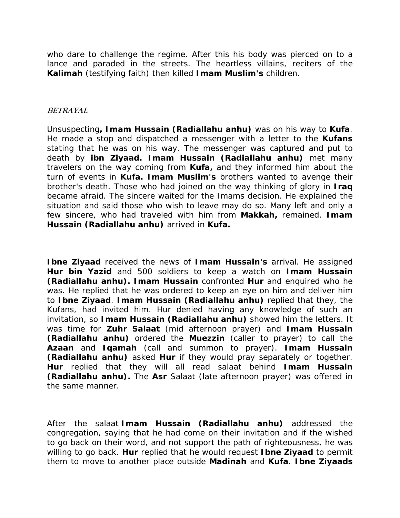<span id="page-21-0"></span>who dare to challenge the regime. After this his body was pierced on to a lance and paraded in the streets. The heartless villains, reciters of the *Kalimah* (testifying faith) then killed *Imam Muslim's* children.

#### **BETRAYAL**

Unsuspecting*, Imam Hussain (Radiallahu anhu)* was on his way to *Kufa*. He made a stop and dispatched a messenger with a letter to the *Kufans* stating that he was on his way. The messenger was captured and put to death by *ibn Ziyaad. Imam Hussain (Radiallahu anhu)* met many travelers on the way coming from *Kufa,* and they informed him about the turn of events in *Kufa. Imam Muslim's* brothers wanted to avenge their brother's death. Those who had joined on the way thinking of glory in *Iraq* became afraid. The sincere waited for the Imams decision. He explained the situation and said those who wish to leave may do so. Many left and only a few sincere, who had traveled with him from *Makkah,* remained. *Imam Hussain (Radiallahu anhu)* arrived in *Kufa.* 

*Ibne Ziyaad* received the news of *Imam Hussain's* arrival. He assigned *Hur bin Yazid* and 500 soldiers to keep a watch on *Imam Hussain (Radiallahu anhu). Imam Hussain* confronted *Hur* and enquired who he was. He replied that he was ordered to keep an eye on him and deliver him to *Ibne Ziyaad*. *Imam Hussain (Radiallahu anhu)* replied that they, the Kufans, had invited him. Hur denied having any knowledge of such an invitation, so *Imam Hussain (Radiallahu anhu)* showed him the letters. It was time for *Zuhr Salaat* (mid afternoon prayer) and *Imam Hussain (Radiallahu anhu)* ordered the *Muezzin* (caller to prayer) to call the *Azaan* and *Iqamah* (call and summon to prayer). *Imam Hussain (Radiallahu anhu)* asked *Hur* if they would pray separately or together. *Hur* replied that they will all read salaat behind *Imam Hussain (Radiallahu anhu).* The *Asr* Salaat (late afternoon prayer) was offered in the same manner.

After the *salaat Imam Hussain (Radiallahu anhu)* addressed the congregation, saying that he had come on their invitation and if the wished to go back on their word, and not support the path of righteousness, he was willing to go back. *Hur* replied that he would request *Ibne Ziyaad* to permit them to move to another place outside *Madinah* and *Kufa*. *Ibne Ziyaads*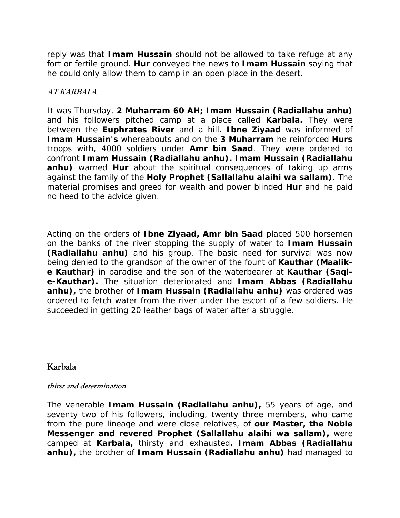<span id="page-22-0"></span>reply was that *Imam Hussain* should not be allowed to take refuge at any fort or fertile ground. *Hur* conveyed the news to *Imam Hussain* saying that he could only allow them to camp in an open place in the desert.

#### **AT KARBALA**

It was Thursday, *2 Muharram 60 AH; Imam Hussain (Radiallahu anhu)* and his followers pitched camp at a place called *Karbala.* They were between the *Euphrates River* and a hill*. Ibne Ziyaad* was informed of *Imam Hussain's* whereabouts and on the *3 Muharram* he reinforced *Hurs*  troops with, 4000 soldiers under *Amr bin Saad*. They were ordered to confront *Imam Hussain (Radiallahu anhu). Imam Hussain (Radiallahu anhu)* warned *Hur* about the spiritual consequences of taking up arms against the family of the *Holy Prophet (Sallallahu alaihi wa sallam)*. The material promises and greed for wealth and power blinded *Hur* and he paid no heed to the advice given.

Acting on the orders of *Ibne Ziyaad, Amr bin Saad* placed 500 horsemen on the banks of the river stopping the supply of water to *Imam Hussain (Radiallahu anhu)* and his group. The basic need for survival was now being denied to the grandson of the owner of the fount of *Kauthar (Maalike Kauthar)* in paradise and the son of the waterbearer at *Kauthar (Saqie-Kauthar).* The situation deteriorated and *Imam Abbas (Radiallahu anhu),* the brother of *Imam Hussain (Radiallahu anhu)* was ordered was ordered to fetch water from the river under the escort of a few soldiers. He succeeded in getting 20 leather bags of water after a struggle.

**Karbala** 

#### **thirst and determination**

The venerable *Imam Hussain (Radiallahu anhu),* 55 years of age, and seventy two of his followers, including, twenty three members, who came from the pure lineage and were close relatives, of *our Master, the Noble Messenger and revered Prophet (Sallallahu alaihi wa sallam),* were camped at *Karbala,* thirsty and exhausted*. Imam Abbas (Radiallahu anhu),* the brother of *Imam Hussain (Radiallahu anhu)* had managed to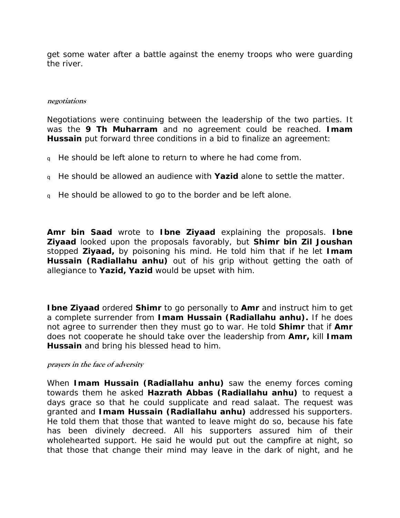<span id="page-23-0"></span>get some water after a battle against the enemy troops who were guarding the river.

#### **negotiations**

Negotiations were continuing between the leadership of the two parties. It was the *9 Th Muharram* and no agreement could be reached. *Imam Hussain* put forward three conditions in a bid to finalize an agreement:

- <sup>q</sup> He should be left alone to return to where he had come from.
- <sup>q</sup> He should be allowed an audience with *Yazid* alone to settle the matter.
- q He should be allowed to go to the border and be left alone.

*Amr bin Saad* wrote to *Ibne Ziyaad* explaining the proposals. *Ibne Ziyaad* looked upon the proposals favorably, but *Shimr bin Zil Joushan* stopped *Ziyaad,* by poisoning his mind. He told him that if he let *Imam Hussain (Radiallahu anhu)* out of his grip without getting the oath of allegiance to *Yazid, Yazid* would be upset with him.

*Ibne Ziyaad* ordered *Shimr* to go personally to *Amr* and instruct him to get a complete surrender from *Imam Hussain (Radiallahu anhu).* If he does not agree to surrender then they must go to war. He told *Shimr* that if *Amr* does not cooperate he should take over the leadership from *Amr,* kill *Imam Hussain* and bring his blessed head to him.

#### **prayers in the face of adversity**

When *Imam Hussain (Radiallahu anhu)* saw the enemy forces coming towards them he asked *Hazrath Abbas (Radiallahu anhu)* to request a days grace so that he could supplicate and read salaat. The request was granted and *Imam Hussain (Radiallahu anhu)* addressed his supporters. He told them that those that wanted to leave might do so, because his fate has been divinely decreed. All his supporters assured him of their wholehearted support. He said he would put out the campfire at night, so that those that change their mind may leave in the dark of night, and he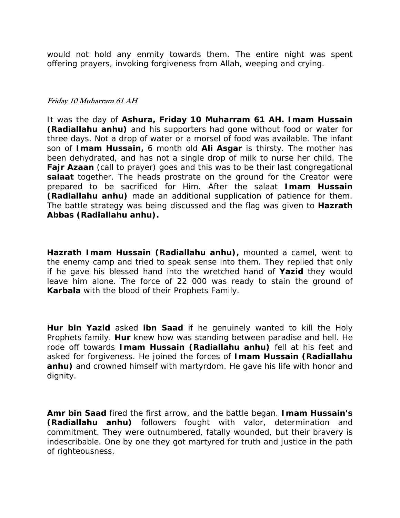<span id="page-24-0"></span>would not hold any enmity towards them. The entire night was spent offering prayers, invoking forgiveness from Allah, weeping and crying.

#### **Friday 10 Muharram 61 AH**

It was the day of *Ashura, Friday 10 Muharram 61 AH. Imam Hussain (Radiallahu anhu)* and his supporters had gone without food or water for three days. Not a drop of water or a morsel of food was available. The infant son of *Imam Hussain,* 6 month old *Ali Asgar* is thirsty. The mother has been dehydrated, and has not a single drop of milk to nurse her child. The *Fajr Azaan* (call to prayer) goes and this was to be their last congregational salaat together. The heads prostrate on the ground for the Creator were prepared to be sacrificed for Him. After the salaat *Imam Hussain (Radiallahu anhu)* made an additional supplication of patience for them. The battle strategy was being discussed and the flag was given to *Hazrath Abbas (Radiallahu anhu).*

*Hazrath Imam Hussain (Radiallahu anhu),* mounted a camel, went to the enemy camp and tried to speak sense into them. They replied that only if he gave his blessed hand into the wretched hand of *Yazid* they would leave him alone. The force of 22 000 was ready to stain the ground of *Karbala* with the blood of their Prophets Family.

*Hur bin Yazid* asked *ibn Saad* if he genuinely wanted to kill the Holy Prophets family. *Hur* knew how was standing between paradise and hell. He rode off towards *Imam Hussain (Radiallahu anhu)* fell at his feet and asked for forgiveness. He joined the forces of *Imam Hussain (Radiallahu*  anhu) and crowned himself with martyrdom. He gave his life with honor and dignity.

*Amr bin Saad* fired the first arrow, and the battle began. *Imam Hussain's (Radiallahu anhu)* followers fought with valor, determination and commitment. They were outnumbered, fatally wounded, but their bravery is indescribable. One by one they got martyred for truth and justice in the path of righteousness.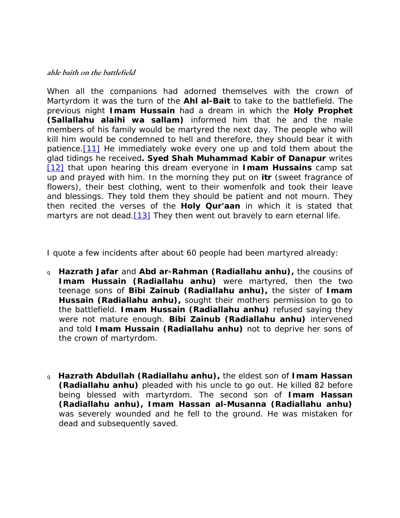#### <span id="page-25-0"></span>**ahle baith on the battlefield**

When all the companions had adorned themselves with the crown of Martyrdom it was the turn of the *Ahl al-Bait* to take to the battlefield. The previous night *Imam Hussain* had a dream in which the *Holy Prophet (Sallallahu alaihi wa sallam)* informed him that he and the male members of his family would be martyred the next day. The people who will kill him would be condemned to hell and therefore, they should bear it with patience.<sup>[11]</sup> He immediately woke every one up and told them about the glad tidings he received*. Syed Shah Muhammad Kabir of Danapur* writes [\[12\]](http://www.sufi.co.za/book madinah to karbala.htm#_ftn12) that upon hearing this dream everyone in *Imam Hussains* camp sat up and prayed with him. In the morning they put on *itr* (sweet fragrance of flowers), their best clothing, went to their womenfolk and took their leave and blessings. They told them they should be patient and not mourn. They then recited the verses of the *Holy Qur'aan* in which it is stated that martyrs are not dead. $[13]$  They then went out bravely to earn eternal life.

I quote a few incidents after about 60 people had been martyred already:

- <sup>q</sup> *Hazrath Jafar* and *Abd ar-Rahman (Radiallahu anhu),* the cousins of *Imam Hussain (Radiallahu anhu)* were martyred, then the two teenage sons of *Bibi Zainub (Radiallahu anhu),* the sister of *Imam Hussain (Radiallahu anhu),* sought their mothers permission to go to the battlefield. *Imam Hussain (Radiallahu anhu)* refused saying they were not mature enough. *Bibi Zainub (Radiallahu anhu)* intervened and told *Imam Hussain (Radiallahu anhu)* not to deprive her sons of the crown of martyrdom.
- <sup>q</sup> *Hazrath Abdullah (Radiallahu anhu),* the eldest son of *Imam Hassan (Radiallahu anhu)* pleaded with his uncle to go out. He killed 82 before being blessed with martyrdom. The second son of *Imam Hassan (Radiallahu anhu), Imam Hassan al-Musanna (Radiallahu anhu)* was severely wounded and he fell to the ground. He was mistaken for dead and subsequently saved.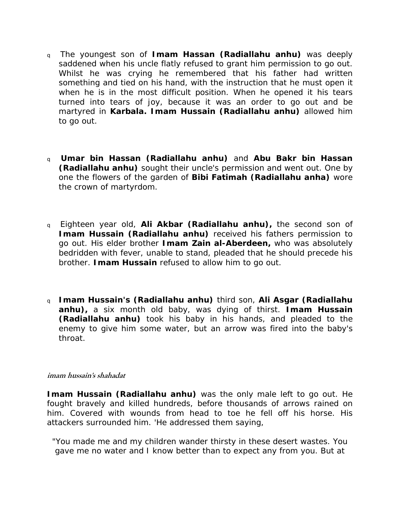- <span id="page-26-0"></span><sup>q</sup> The youngest son of *Imam Hassan (Radiallahu anhu)* was deeply saddened when his uncle flatly refused to grant him permission to go out. Whilst he was crying he remembered that his father had written something and tied on his hand, with the instruction that he must open it when he is in the most difficult position. When he opened it his tears turned into tears of joy, because it was an order to go out and be martyred in *Karbala. Imam Hussain (Radiallahu anhu)* allowed him to go out.
- <sup>q</sup> *Umar bin Hassan (Radiallahu anhu)* and *Abu Bakr bin Hassan (Radiallahu anhu)* sought their uncle's permission and went out. One by one the flowers of the garden of *Bibi Fatimah (Radiallahu anha)* wore the crown of martyrdom.
- <sup>q</sup> Eighteen year old, *Ali Akbar (Radiallahu anhu),* the second son of *Imam Hussain (Radiallahu anhu)* received his fathers permission to go out. His elder brother *Imam Zain al-Aberdeen,* who was absolutely bedridden with fever, unable to stand, pleaded that he should precede his brother. *Imam Hussain* refused to allow him to go out.
- <sup>q</sup> *Imam Hussain's (Radiallahu anhu)* third son, *Ali Asgar (Radiallahu anhu),* a six month old baby, was dying of thirst. *Imam Hussain (Radiallahu anhu)* took his baby in his hands, and pleaded to the enemy to give him some water, but an arrow was fired into the baby's throat.

#### **imam hussain's shahadat**

**Imam Hussain (Radiallahu anhu)** was the only male left to go out. He fought bravely and killed hundreds, before thousands of arrows rained on him. Covered with wounds from head to toe he fell off his horse. His attackers surrounded him. 'He addressed them saying,

"You made me and my children wander thirsty in these desert wastes. You gave me no water and I know better than to expect any from you. But at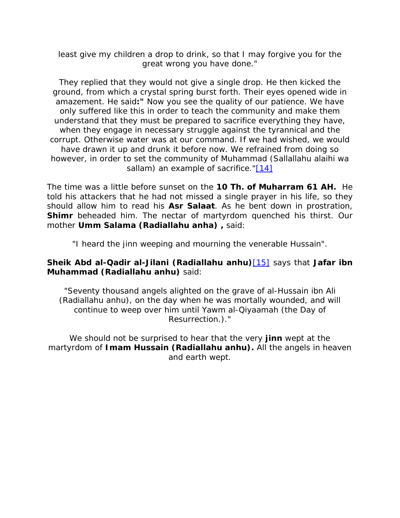least give my children a drop to drink, so that I may forgive you for the great wrong you have done."

They replied that they would not give a single drop. He then kicked the ground, from which a crystal spring burst forth. Their eyes opened wide in amazement. He said*:"* Now you see the quality of our patience. We have only suffered like this in order to teach the community and make them understand that they must be prepared to sacrifice everything they have, when they engage in necessary struggle against the tyrannical and the corrupt. Otherwise water was at our command. If we had wished, we would have drawn it up and drunk it before now. We refrained from doing so however, in order to set the community of Muhammad (Sallallahu alaihi wa sallam) an example of sacrifice."[\[14\]](http://www.sufi.co.za/book madinah to karbala.htm#_ftn14)

The time was a little before sunset on the *10 Th. of Muharram 61 AH.* He told his attackers that he had not missed a single prayer in his life, so they should allow him to read his *Asr Salaat*. As he bent down in prostration, **Shimr** beheaded him. The nectar of martyrdom quenched his thirst. Our mother *Umm Salama (Radiallahu anha) ,* said:

"I heard the jinn weeping and mourning the venerable Hussain".

#### *Sheik Abd al-Qadir al-Jilani (Radiallahu anhu)*[\[15\]](http://www.sufi.co.za/book madinah to karbala.htm#_ftn15) says that *Jafar ibn Muhammad (Radiallahu anhu)* said:

"Seventy thousand angels alighted on the grave of al-Hussain ibn Ali (Radiallahu anhu), on the day when he was mortally wounded, and will continue to weep over him until Yawm al-Qiyaamah (the Day of Resurrection.)."

We should not be surprised to hear that the very *jinn* wept at the martyrdom of *Imam Hussain (Radiallahu anhu).* All the angels in heaven and earth wept.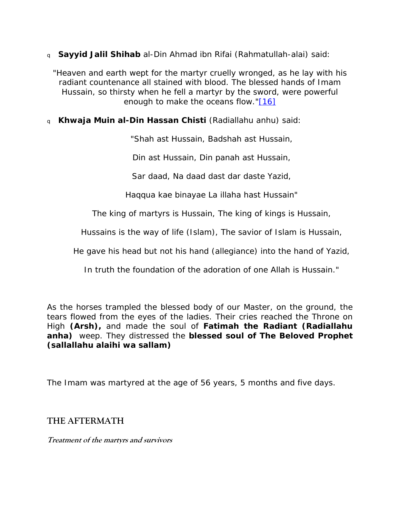<span id="page-28-0"></span><sup>q</sup> *Sayyid Jalil Shihab* al-Din Ahmad ibn Rifai (Rahmatullah-alai) said:

"Heaven and earth wept for the martyr cruelly wronged, as he lay with his radiant countenance all stained with blood. The blessed hands of Imam Hussain, so thirsty when he fell a martyr by the sword, were powerful enough to make the oceans flow.["\[16\]](http://www.sufi.co.za/book madinah to karbala.htm#_ftn16)

<sup>q</sup> *Khwaja Muin al-Din Hassan Chisti* (Radiallahu anhu) said:

*"Shah ast Hussain, Badshah ast Hussain,* 

*Din ast Hussain, Din panah ast Hussain,* 

*Sar daad, Na daad dast dar daste Yazid,* 

*Haqqua kae binayae La illaha hast Hussain*"

The king of martyrs is Hussain, The king of kings is Hussain,

Hussains is the way of life (Islam), The savior of Islam is Hussain,

He gave his head but not his hand (allegiance) into the hand of Yazid,

In truth the foundation of the adoration of one Allah is Hussain."

As the horses trampled the blessed body of our Master, on the ground, the tears flowed from the eyes of the ladies. Their cries reached the Throne on High *(Arsh),* and made the soul of *Fatimah the Radiant (Radiallahu anha)* weep. They distressed the *blessed soul of The Beloved Prophet (sallallahu alaihi wa sallam)*

The Imam was martyred at the age of 56 years, 5 months and five days.

# **THE AFTERMATH**

**Treatment of the martyrs and survivors**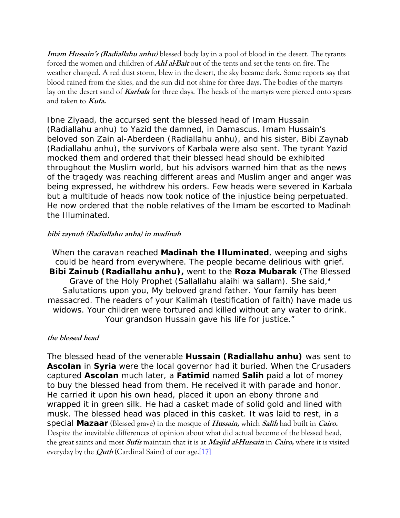<span id="page-29-0"></span>**Imam Hussain's (Radiallahu anhu)** blessed body lay in a pool of blood in the desert. The tyrants forced the women and children of **Ahl al-Bait** out of the tents and set the tents on fire. The weather changed. A red dust storm, blew in the desert, the sky became dark. Some reports say that blood rained from the skies, and the sun did not shine for three days. The bodies of the martyrs lay on the desert sand of **Karbala** for three days. The heads of the martyrs were pierced onto spears and taken to **Kufa.**

Ibne Ziyaad, the accursed sent the blessed head of Imam Hussain (Radiallahu anhu) to Yazid the damned, in Damascus. Imam Hussain's beloved son Zain al-Aberdeen (Radiallahu anhu), and his sister, Bibi Zaynab (Radiallahu anhu), the survivors of Karbala were also sent. The tyrant Yazid mocked them and ordered that their blessed head should be exhibited throughout the Muslim world, but his advisors warned him that as the news of the tragedy was reaching different areas and Muslim anger and anger was being expressed, he withdrew his orders. Few heads were severed in Karbala but a multitude of heads now took notice of the injustice being perpetuated. He now ordered that the noble relatives of the Imam be escorted to Madinah the Illuminated.

#### **bibi zaynub (Radiallahu anha) in madinah**

When the caravan reached *Madinah the Illuminated*, weeping and sighs could be heard from everywhere. The people became delirious with grief. *Bibi Zainub (Radiallahu anhu),* went to the *Roza Mubarak* (The Blessed Grave of the Holy Prophet (Sallallahu alaihi wa sallam). She said,*'*  Salutations upon you, My beloved grand father. Your family has been massacred. The readers of your Kalimah (testification of faith) have made us widows. Your children were tortured and killed without any water to drink. Your grandson Hussain gave his life for justice."

#### **the blessed head**

The blessed head of the venerable *Hussain (Radiallahu anhu)* was sent to **Ascolan** in *Syria* were the local governor had it buried. When the Crusaders captured *Ascolan* much later, a *Fatimid* named *Salih* paid a lot of money to buy the blessed head from them. He received it with parade and honor. He carried it upon his own head, placed it upon an ebony throne and wrapped it in green silk. He had a casket made of solid gold and lined with musk. The blessed head was placed in this casket. It was laid to rest, in a special *Mazaar* (Blessed grave) in the mosque of **Hussain,** which **Salih** had built in **Cairo.**  Despite the inevitable differences of opinion about what did actual become of the blessed head, the great saints and most **Sufis** maintain that it is at **Masjid al-Hussain** in **Cairo,** where it is visited everyday by the *Qutb* (Cardinal Saint) of our age.<sup>[\[17\]](http://www.sufi.co.za/book madinah to karbala.htm#_ftn17)</sup>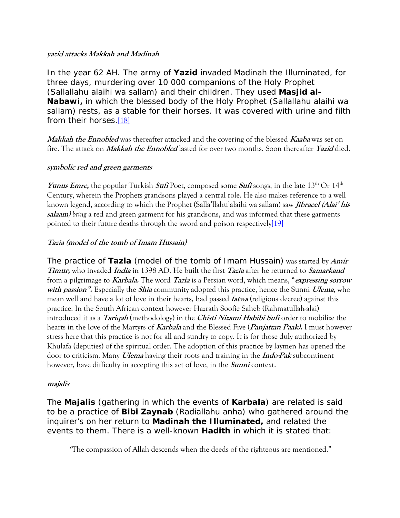#### <span id="page-30-0"></span>**yazid attacks Makkah and Madinah**

In the year 62 AH. The army of *Yazid* invaded *Madinah* the Illuminated, for three days, murdering over 10 000 companions of the Holy Prophet (Sallallahu alaihi wa sallam) and their children. They used *Masjid al-Nabawi,* in which the blessed body of the Holy Prophet (Sallallahu alaihi wa sallam) rests, as a stable for their horses. It was covered with urine and filth from their horses.[\[18\]](http://www.sufi.co.za/book madinah to karbala.htm#_ftn18)

**Makkah the Ennobled** was thereafter attacked and the covering of the blessed **Kaaba** was set on fire. The attack on **Makkah the Ennobled** lasted for over two months. Soon thereafter **Yazid** died.

#### **symbolic red and green garments**

*Yunus Emre,* the popular Turkish *Sufi* Poet, composed some *Sufi* songs, in the late 13<sup>th</sup> Or 14<sup>th</sup> Century, wherein the Prophets grandsons played a central role. He also makes reference to a well known legend, according to which the Prophet (Salla'llahu'alaihi wa sallam) saw **Jibraeel (Alai' his salaam)** *bring* a red and green garment for his grandsons, and was informed that these garments pointed to their future deaths through the sword and poison respectively[\[19\]](http://www.sufi.co.za/book madinah to karbala.htm#_ftn19)

#### **Tazia (model of the tomb of Imam Hussain)**

The practice of *Tazia* (model of the tomb of Imam Hussain) was started by **Amir Timur,** who invaded **India** in 1398 AD. He built the first **Tazia** after he returned to **Samarkand** from a pilgrimage to **Karbala.** The word **Tazia** is a Persian word, which means, "**expressing sorrow with passion".** Especially the **Shia** community adopted this practice, hence the Sunni **Ulema**, who mean well and have a lot of love in their hearts, had passed **fatwa** (religious decree) against this practice. In the South African context however Hazrath Soofie Saheb (Rahmatullah-alai) introduced it as a **Tariqah** (methodology) in the **Chisti Nizami Habibi Sufi** order to mobilize the hearts in the love of the Martyrs of **Karbala** and the Blessed Five (**Panjattan Paak).** I must however stress here that this practice is not for all and sundry to copy. It is for those duly authorized by Khulafa (deputies) of the spiritual order. The adoption of this practice by laymen has opened the door to criticism. Many **Ulema** having their roots and training in the **Indo-Pak** subcontinent however, have difficulty in accepting this act of love, in the **Sunni** context.

#### **majalis**

The *Majalis* (gathering in which the events of *Karbala*) are related is said to be a practice of *Bibi Zaynab* (Radiallahu anha) who gathered around the inquirer's on her return to *Madinah the Illuminated,* and related the events to them. There is a well-known *Hadith* in which it is stated that:

**"**The compassion of Allah descends when the deeds of the righteous are mentioned."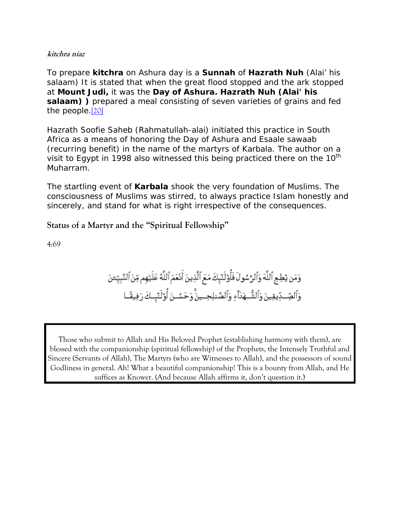#### <span id="page-31-0"></span>**kitchra niaz**

To prepare *kitchra* on Ashura day is a *Sunnah* of *Hazrath Nuh* (Alai' his salaam) It is stated that when the great flood stopped and the ark stopped at *Mount Judi,* it was the *Day of Ashura. Hazrath Nuh (Alai' his salaam) )* prepared a meal consisting of seven varieties of grains and fed the people.[\[20\]](http://www.sufi.co.za/book madinah to karbala.htm#_ftn20)

Hazrath Soofie Saheb (Rahmatullah-alai) initiated this practice in South Africa as a means of honoring the Day of Ashura and Esaale sawaab (recurring benefit) in the name of the martyrs of Karbala. The author on a visit to Egypt in 1998 also witnessed this being practiced there on the  $10<sup>th</sup>$ Muharram.

The startling event of *Karbala* shook the very foundation of Muslims. The consciousness of Muslims was stirred, to always practice Islam honestly and sincerely, and stand for what is right irrespective of the consequences.

**Status of a Martyr and the "Spiritual Fellowship"**

4:69

Those who submit to Allah and His Beloved Prophet (establishing harmony with them), are blessed with the companionship (spiritual fellowship) of the Prophets, the Intensely Truthful and Sincere (Servants of Allah), The Martyrs (who are Witnesses to Allah), and the possessors of sound Godliness in general. Ah! What a beautiful companionship! This is a bounty from Allah, and He suffices as Knower. (And because Allah affirms it, don't question it.)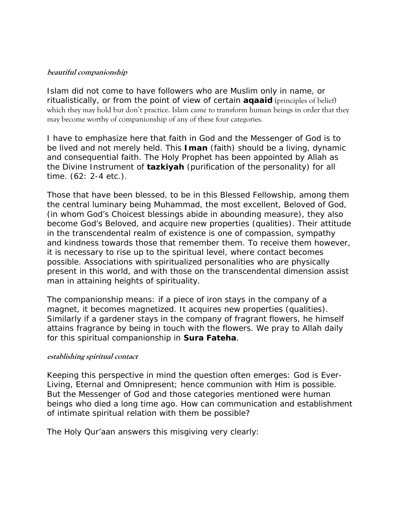#### <span id="page-32-0"></span>**beautiful companionship**

Islam did not come to have followers who are Muslim only in name, or ritualistically, or from the point of view of certain *aqaaid* (principles of belief) which they may hold but don't practice. Islam came to transform human beings in order that they may become worthy of companionship of any of these four categories.

I have to emphasize here that faith in God and the Messenger of God is to be lived and not merely held. This *Iman* (faith) should be a living, dynamic and consequential faith. The Holy Prophet has been appointed by Allah as the Divine Instrument of *tazkiyah* (purification of the personality) for all time. (62: 2-4 etc.).

Those that have been blessed, to be in this Blessed Fellowship, among them the central luminary being Muhammad, the most excellent, Beloved of God, (in whom God's Choicest blessings abide in abounding measure), they also become God's Beloved, and acquire new properties (qualities). Their attitude in the transcendental realm of existence is one of compassion, sympathy and kindness towards those that remember them. To receive them however, it is necessary to rise up to the spiritual level, where contact becomes possible. Associations with spiritualized personalities who are physically present in this world, and with those on the transcendental dimension assist man in attaining heights of spirituality.

The companionship means: if a piece of iron stays in the company of a magnet, it becomes magnetized. It acquires new properties (qualities). Similarly if a gardener stays in the company of fragrant flowers, he himself attains fragrance by being in touch with the flowers. We pray to Allah daily for this spiritual companionship in *Sura Fateha*.

#### **establishing spiritual contact**

Keeping this perspective in mind the question often emerges: God is Ever-Living, Eternal and Omnipresent; hence communion with Him is possible. But the Messenger of God and those categories mentioned were human beings who died a long time ago. How can communication and establishment of intimate spiritual relation with them be possible?

The Holy Qur'aan answers this misgiving very clearly: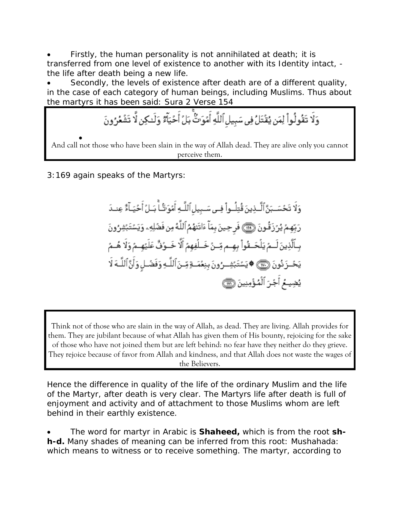• Firstly, the human personality is not annihilated at death; it is transferred from one level of existence to another with its Identity intact, the life after death being a new life.

Secondly, the levels of existence after death are of a different quality, in the case of each category of human beings, including Muslims. Thus about the martyrs it has been said: Sura 2 Verse 154

وَلَا تَقُولُواْ لِمَن يُقْتَلُ فِي سَبِيلِ ٱللَّهِ أَمُوَتٌ بَلَّ أَحُيَآَةٌ وَلَـٰكِن لَّا تَشْعُرُونَ

• And call not those who have been slain in the way of Allah dead. They are alive only you cannot perceive them.

3:169 again speaks of the Martyrs:

وَلَا تَحْسَـبَنَّ ٱلَّـذِينَ قُتِلُــواْ فِــى سَــبِيل ٱللَّـهِ أَمْوَتَكُـا ۚ بَــلُ أَحْيَــآءٌ عِنــدَ رَبِّهِمُ يُرَزَقُونَ ۞ فَرِحِينَ بِمَآ ءَاتَنهُمُ ٱللَّهُ مِن فَضْلِهِۦ وَيَسۡتَبۡشِرُونَ بِـٱلَّذِينَ لَــمُ يَلۡحَــقُواْ بِهِــم مِّــنُ خَــلۡفِهِمُ أَلَّا خَــوُفٌ عَلَيۡهِــمُ وَلَا هُــمُ يَحُــزَ نُونَ ۞۞ ♦يَسۡتَبۡشِــرُونَ بِنِعۡمَــةٍ مِّـنَٱللَّـهِ وَفَضۡـلٍ وَأَنَّ ٱللَّــهَ لَا يُضِيعُ أَجْرَ ٱلْمُؤْمِنِينَ ١

Think not of those who are slain in the way of Allah, as dead. They are living. Allah provides for them. They are jubilant because of what Allah has given them of His bounty, rejoicing for the sake of those who have not joined them but are left behind: no fear have they neither do they grieve. They rejoice because of favor from Allah and kindness, and that Allah does not waste the wages of the Believers.

Hence the difference in quality of the life of the ordinary Muslim and the life of the Martyr, after death is very clear. The Martyrs life after death is full of enjoyment and activity and of attachment to those Muslims whom are left behind in their earthly existence.

• The word for martyr in Arabic is *Shaheed,* which is from the root *shh-d.* Many shades of meaning can be inferred from this root: Mushahada: which means to witness or to receive something. The martyr, according to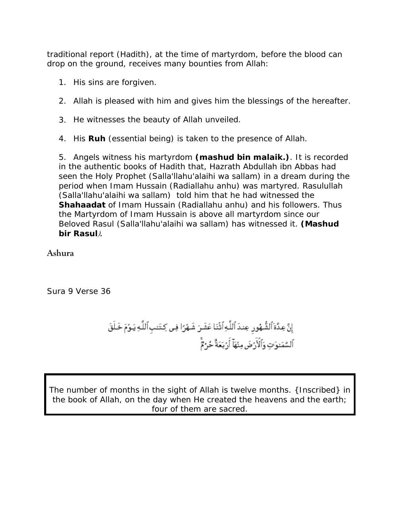<span id="page-34-0"></span>traditional report (Hadith), at the time of martyrdom, before the blood can drop on the ground, receives many bounties from Allah:

- 1. His sins are forgiven.
- 2. Allah is pleased with him and gives him the blessings of the hereafter.
- 3. He witnesses the beauty of Allah unveiled.
- 4. His *Ruh* (essential being) is taken to the presence of Allah.

5. Angels witness his martyrdom *(mashud bin malaik.)*. It is recorded in the authentic books of Hadith that, Hazrath Abdullah ibn Abbas had seen the Holy Prophet (Salla'llahu'alaihi wa sallam) in a dream during the period when Imam Hussain (Radiallahu anhu) was martyred. Rasulullah (Salla'llahu'alaihi wa sallam) told him that he had witnessed the *Shahaadat* of Imam Hussain (Radiallahu anhu) and his followers. Thus the Martyrdom of Imam Hussain is above all martyrdom since our Beloved Rasul (Salla'llahu'alaihi wa sallam) has witnessed it. *(Mashud bir Rasul***).**

**Ashura** 

Sura 9 Verse 36

The number of months in the sight of Allah is twelve months. {Inscribed} in the book of Allah, on the day when He created the heavens and the earth; four of them are sacred.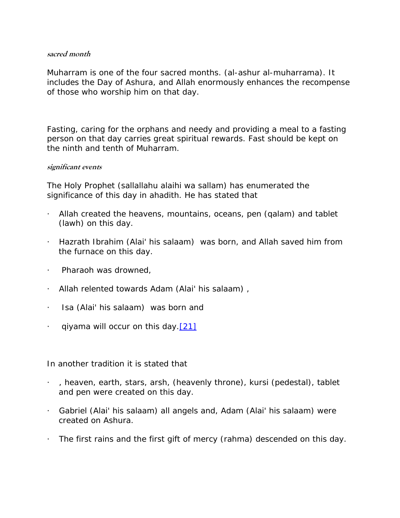#### <span id="page-35-0"></span>**sacred month**

Muharram is one of the four sacred months. *(al-ashur al-muharrama)*. It includes the Day of Ashura, and Allah enormously enhances the recompense of those who worship him on that day.

Fasting, caring for the orphans and needy and providing a meal to a fasting person on that day carries great spiritual rewards. Fast should be kept on the ninth and tenth of Muharram.

#### **significant events**

The Holy Prophet (sallallahu alaihi wa sallam) has enumerated the significance of this day in *ahadith*. He has stated that

- · Allah created the heavens, mountains, oceans, pen *(qalam)* and tablet *(lawh)* on this day.
- · Hazrath Ibrahim (Alai' his salaam) was born, and Allah saved him from the furnace on this day.
- · Pharaoh was drowned,
- · Allah relented towards Adam (Alai' his salaam) ,
- · Isa (Alai' his salaam) was born and
- *qiyama* will occur on this day. [\[21\]](http://www.sufi.co.za/book madinah to karbala.htm#_ftn21)

In another tradition it is stated that

- · , heaven, earth, stars, *arsh,* (heavenly throne), *kursi* (pedestal), tablet and pen were created on this day.
- · Gabriel (Alai' his salaam) all angels and, Adam (Alai' his salaam) were created on Ashura.
- · The first rains and the first gift of mercy *(rahma)* descended on this day.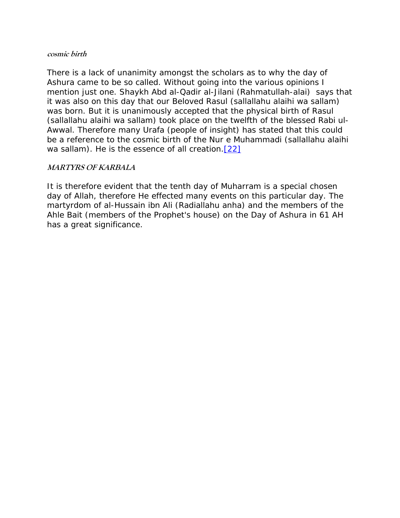#### <span id="page-36-0"></span>**cosmic birth**

There is a lack of unanimity amongst the scholars as to why the day of Ashura came to be so called. Without going into the various opinions I mention just one. Shaykh Abd al-Qadir al-Jilani (Rahmatullah-alai) says that it was also on this day that our Beloved Rasul (sallallahu alaihi wa sallam) was born. But it is unanimously accepted that the physical birth of Rasul (sallallahu alaihi wa sallam) took place on the twelfth of the blessed Rabi ul-Awwal. Therefore many Urafa (people of insight) has stated *that* this could be a reference to the cosmic birth of the *Nur e Muhammadi (sallallahu alaihi wa sallam)*. He is the essence of all creation.[\[22\]](http://www.sufi.co.za/book madinah to karbala.htm#_ftn22)

#### **MARTYRS OF KARBALA**

It is therefore evident that the tenth day of Muharram is a special chosen day of Allah, therefore He effected many events on this particular day. The martyrdom of al-Hussain ibn Ali (Radiallahu anha) and the members of the *Ahle Bait* (members of the Prophet's house) on the Day of Ashura in 61 AH has a great significance.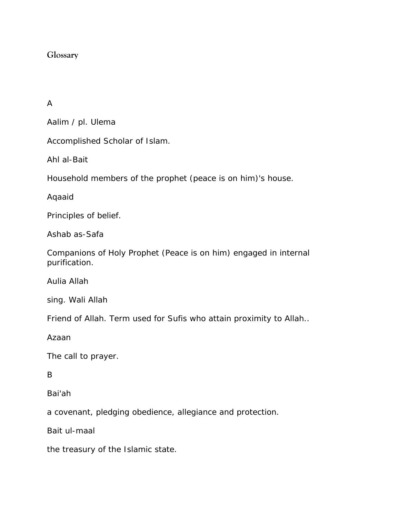# <span id="page-37-0"></span>**Glossary**

# A

Aalim / pl. Ulema

Accomplished Scholar of Islam.

Ahl al-Bait

Household members of the prophet (peace is on him)'s house.

Aqaaid

Principles of belief.

Ashab as-Safa

Companions of Holy Prophet (Peace is on him) engaged in internal purification.

Aulia Allah

sing. Wali Allah

Friend of Allah. Term used for Sufis who attain proximity to Allah..

Azaan

The call to prayer.

B

Bai'ah

a covenant, pledging obedience, allegiance and protection.

Bait ul-maal

the treasury of the Islamic state.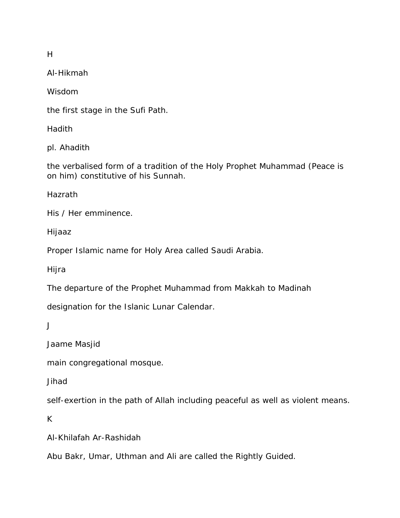H

Al-Hikmah

Wisdom

the first stage in the Sufi Path.

Hadith

pl. Ahadith

the verbalised form of a tradition of the Holy Prophet Muhammad (Peace is on him) constitutive of his Sunnah.

Hazrath

His / Her emminence.

Hijaaz

Proper Islamic name for Holy Area called Saudi Arabia.

Hijra

The departure of the Prophet Muhammad from Makkah to Madinah

designation for the Islanic Lunar Calendar.

J

Jaame Masjid

main congregational mosque.

Jihad

self-exertion in the path of Allah including peaceful as well as violent means.

K

Al-Khilafah Ar-Rashidah

Abu Bakr, Umar, Uthman and Ali are called the Rightly Guided.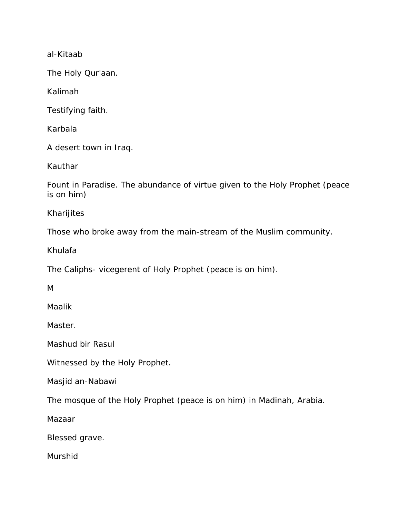al-Kitaab

The Holy Qur'aan.

Kalimah

Testifying faith.

Karbala

A desert town in Iraq.

Kauthar

Fount in Paradise. The abundance of virtue given to the Holy Prophet (peace is on him)

Kharijites

Those who broke away from the main-stream of the Muslim community.

Khulafa

The Caliphs- vicegerent of Holy Prophet (peace is on him).

M

Maalik

Master.

Mashud bir Rasul

Witnessed by the Holy Prophet.

Masjid an-Nabawi

The mosque of the Holy Prophet (peace is on him) in Madinah, Arabia.

Mazaar

Blessed grave.

**Murshid**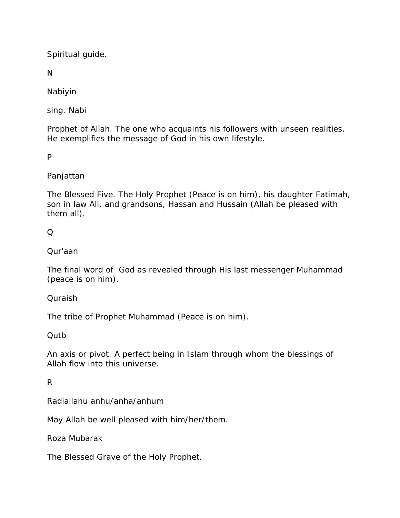Spiritual guide.

N

Nabiyin

sing. Nabi

Prophet of Allah. The one who acquaints his followers with unseen realities. He exemplifies the message of God in his own lifestyle.

P

# Panjattan

The Blessed Five. The Holy Prophet (Peace is on him), his daughter Fatimah, son in law Ali, and grandsons, Hassan and Hussain (Allah be pleased with them all).

# $\Omega$

# Qur'aan

The final word of God as revealed through His last messenger Muhammad (peace is on him).

# Quraish

The tribe of Prophet Muhammad (Peace is on him).

# Qutb

An axis or pivot. A perfect being in Islam through whom the blessings of Allah flow into this universe.

# R

Radiallahu anhu/anha/anhum

May Allah be well pleased with him/her/them.

Roza Mubarak

The Blessed Grave of the Holy Prophet.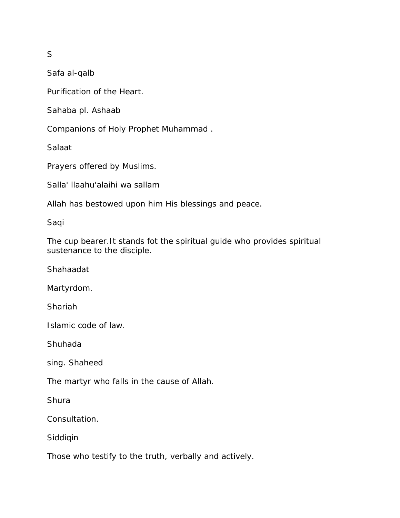S

Safa al-qalb

Purification of the Heart.

Sahaba pl. Ashaab

Companions of Holy Prophet Muhammad .

Salaat

Prayers offered by Muslims.

Salla' llaahu'alaihi wa sallam

Allah has bestowed upon him His blessings and peace.

Saqi

The cup bearer.It stands fot the spiritual guide who provides spiritual sustenance to the disciple.

Shahaadat

Martyrdom.

Shariah

Islamic code of law.

Shuhada

sing. Shaheed

The martyr who falls in the cause of Allah.

**Shura** 

Consultation.

Siddiqin

Those who testify to the truth, verbally and actively.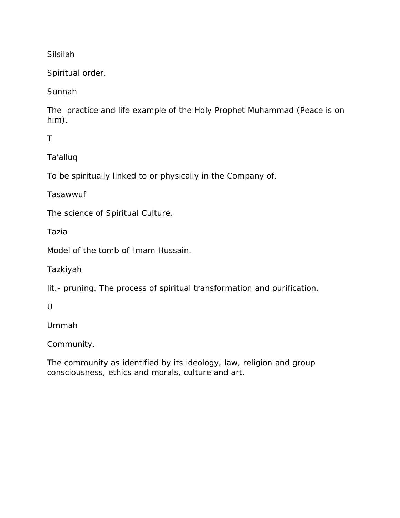Silsilah

Spiritual order.

Sunnah

The practice and life example of the Holy Prophet Muhammad (Peace is on him).

T

Ta'alluq

To be spiritually linked to or physically in the Company of.

Tasawwuf

The science of Spiritual Culture.

Tazia

Model of the tomb of Imam Hussain.

Tazkiyah

lit.- pruning. The process of spiritual transformation and purification.

 $\cup$ 

Ummah

Community.

The community as identified by its ideology, law, religion and group consciousness, ethics and morals, culture and art.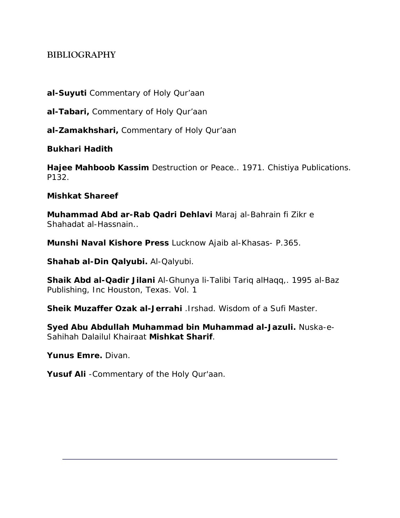# <span id="page-43-0"></span>**BIBLIOGRAPHY**

**al-Suyuti** Commentary of Holy Qur'aan

**al-Tabari,** Commentary of Holy Qur'aan

**al-Zamakhshari,** Commentary of Holy Qur'aan

**Bukhari Hadith** 

**Hajee Mahboob Kassim** Destruction or Peace.. 1971. Chistiya Publications. P132.

**Mishkat Shareef** 

**Muhammad Abd ar-Rab Qadri Dehlavi** *Maraj al-Bahrain fi Zikr e Shahadat al-Hassnain..*

**Munshi Naval Kishore Press** Lucknow *Ajaib al-Khasas*- P.365.

**Shahab al-Din Qalyubi.** *Al-Qalyubi.*

**Shaik Abd al-Qadir Jilani** *Al-Ghunya li-Talibi Tariq alHaqq,.* 1995 al-Baz Publishing, Inc Houston, Texas. Vol. 1

**Sheik Muzaffer Ozak al-Jerrahi** .*Irshad. Wisdom of a Sufi Master.*

**Syed Abu Abdullah Muhammad bin Muhammad al-Jazuli.** Nuska-e-Sahihah Dalailul Khairaat **Mishkat Sharif**.

*Yunus Emre.* Divan.

**Yusuf Ali** -*Commentary of the Holy Qur'aan.*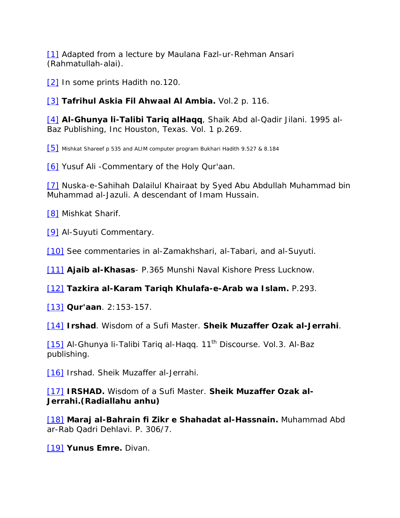[\[1\]](http://www.sufi.co.za/book madinah to karbala.htm#_ftnref1) Adapted from a lecture by Maulana Fazl-ur-Rehman Ansari (Rahmatullah-alai).

[\[2\]](http://www.sufi.co.za/book madinah to karbala.htm#_ftnref2) In some prints Hadith no.120.

[\[3\]](http://www.sufi.co.za/book madinah to karbala.htm#_ftnref3) *Tafrihul Askia Fil Ahwaal Al Ambia.* Vol.2 p. 116.

[\[4\]](http://www.sufi.co.za/book madinah to karbala.htm#_ftnref4) *Al-Ghunya li-Talibi Tariq alHaqq*, Shaik Abd al-Qadir Jilani. 1995 al-Baz Publishing, Inc Houston, Texas. Vol. 1 p.269.

[\[5\]](http://www.sufi.co.za/book madinah to karbala.htm#_ftnref5) Mishkat Shareef p 535 and ALIM computer program Bukhari Hadith 9.527 & 8.184

[\[6\]](http://www.sufi.co.za/book madinah to karbala.htm#_ftnref6) Yusuf Ali -Commentary of the Holy Qur'aan.

[\[7\]](http://www.sufi.co.za/book madinah to karbala.htm#_ftnref7) Nuska-e-Sahihah Dalailul Khairaat by Syed Abu Abdullah Muhammad bin Muhammad al-Jazuli. A descendant of Imam Hussain.

[\[8\]](http://www.sufi.co.za/book madinah to karbala.htm#_ftnref8) Mishkat Sharif.

[\[9\]](http://www.sufi.co.za/book madinah to karbala.htm#_ftnref9) Al-Suyuti Commentary.

[\[10\]](http://www.sufi.co.za/book madinah to karbala.htm#_ftnref10) See commentaries in al-Zamakhshari, al-Tabari, and al-Suyuti.

[\[11\]](http://www.sufi.co.za/book madinah to karbala.htm#_ftnref11) *Ajaib al-Khasas*- P.365 Munshi Naval Kishore Press Lucknow.

[\[12\]](http://www.sufi.co.za/book madinah to karbala.htm#_ftnref12) *Tazkira al-Karam Tariqh Khulafa-e-Arab wa Islam.* P.293.

[\[13\]](http://www.sufi.co.za/book madinah to karbala.htm#_ftnref13) *Qur'aan*. 2:153-157.

[\[14\]](http://www.sufi.co.za/book madinah to karbala.htm#_ftnref14) *Irshad*. Wisdom of a Sufi Master. *Sheik Muzaffer Ozak al-Jerrahi*.

[\[15\]](http://www.sufi.co.za/book madinah to karbala.htm#_ftnref15) Al-Ghunya li-Talibi Tariq al-Haqq. 11<sup>th</sup> Discourse. Vol.3. Al-Baz publishing.

[\[16\]](http://www.sufi.co.za/book madinah to karbala.htm#_ftnref16) Irshad. Sheik Muzaffer al-Jerrahi.

[\[17\]](http://www.sufi.co.za/book madinah to karbala.htm#_ftnref17) *IRSHAD.* Wisdom of a Sufi Master. *Sheik Muzaffer Ozak al-Jerrahi.(Radiallahu anhu)*

[\[18\]](http://www.sufi.co.za/book madinah to karbala.htm#_ftnref18) *Maraj al-Bahrain fi Zikr e Shahadat al-Hassnain.* Muhammad Abd ar-Rab Qadri Dehlavi. P. 306/7.

[\[19\]](http://www.sufi.co.za/book madinah to karbala.htm#_ftnref19) *Yunus Emre.* Divan.